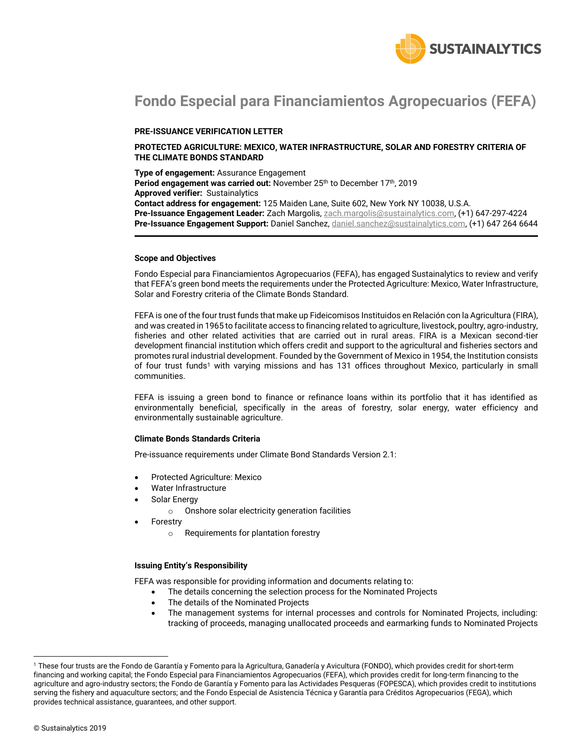

# **Fondo Especial para Financiamientos Agropecuarios (FEFA)**

### **PRE-ISSUANCE VERIFICATION LETTER**

### **PROTECTED AGRICULTURE: MEXICO, WATER INFRASTRUCTURE, SOLAR AND FORESTRY CRITERIA OF THE CLIMATE BONDS STANDARD**

**Type of engagement:** Assurance Engagement Period engagement was carried out: November 25<sup>th</sup> to December 17<sup>th</sup>, 2019 **Approved verifier:** Sustainalytics **Contact address for engagement:** 125 Maiden Lane, Suite 602, New York NY 10038, U.S.A. **Pre-Issuance Engagement Leader:** Zach Margolis, [zach.margolis@sustainalytics.com,](mailto:zach.margolis@sustainalytics.com) (+1) 647-297-4224 **Pre-Issuance Engagement Support:** Daniel Sanchez, [daniel.sanchez@sustainalytics.com,](mailto:daniel.sanchez@sustainalytics.com) (+1) 647 264 6644

#### **Scope and Objectives**

Fondo Especial para Financiamientos Agropecuarios (FEFA), has engaged Sustainalytics to review and verify that FEFA's green bond meets the requirements under the Protected Agriculture: Mexico, Water Infrastructure, Solar and Forestry criteria of the Climate Bonds Standard.

FEFA is one of the four trust funds that make up Fideicomisos Instituidos en Relación con la Agricultura (FIRA), and was created in 1965 to facilitate access to financing related to agriculture, livestock, poultry, agro-industry, fisheries and other related activities that are carried out in rural areas. FIRA is a Mexican second-tier development financial institution which offers credit and support to the agricultural and fisheries sectors and promotes rural industrial development. Founded by the Government of Mexico in 1954, the Institution consists of four trust funds<sup>1</sup> with varying missions and has 131 offices throughout Mexico, particularly in small communities.

FEFA is issuing a green bond to finance or refinance loans within its portfolio that it has identified as environmentally beneficial, specifically in the areas of forestry, solar energy, water efficiency and environmentally sustainable agriculture.

#### **Climate Bonds Standards Criteria**

Pre-issuance requirements under Climate Bond Standards Version 2.1:

- Protected Agriculture: Mexico
- Water Infrastructure
- Solar Energy
	- o Onshore solar electricity generation facilities
- Forestry
	- o Requirements for plantation forestry

#### **Issuing Entity's Responsibility**

FEFA was responsible for providing information and documents relating to:

- The details concerning the selection process for the Nominated Projects
- The details of the Nominated Projects
- The management systems for internal processes and controls for Nominated Projects, including: tracking of proceeds, managing unallocated proceeds and earmarking funds to Nominated Projects

 $\overline{a}$ 

<sup>1</sup> These four trusts are the Fondo de Garantía y Fomento para la Agricultura, Ganadería y Avicultura (FONDO), which provides credit for short-term financing and working capital; the Fondo Especial para Financiamientos Agropecuarios (FEFA), which provides credit for long-term financing to the agriculture and agro-industry sectors; the Fondo de Garantía y Fomento para las Actividades Pesqueras (FOPESCA), which provides credit to institutions serving the fishery and aquaculture sectors; and the Fondo Especial de Asistencia Técnica y Garantía para Créditos Agropecuarios (FEGA), which provides technical assistance, guarantees, and other support.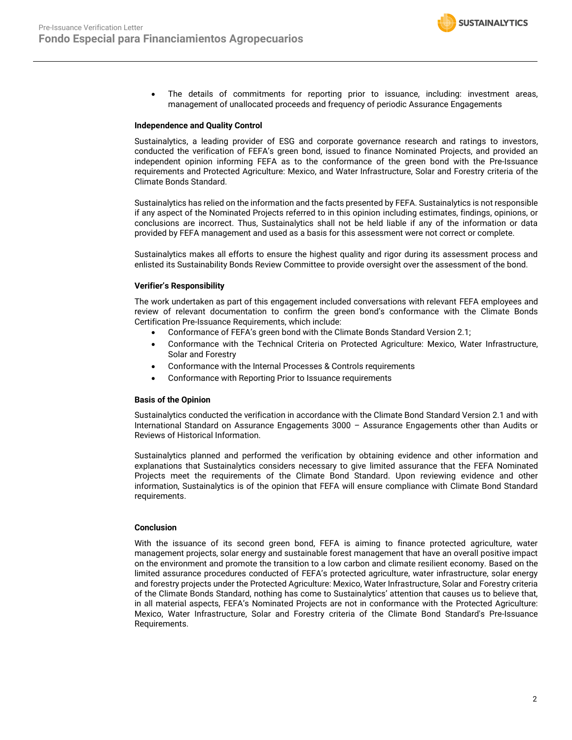

 The details of commitments for reporting prior to issuance, including: investment areas, management of unallocated proceeds and frequency of periodic Assurance Engagements

#### **Independence and Quality Control**

Sustainalytics, a leading provider of ESG and corporate governance research and ratings to investors, conducted the verification of FEFA's green bond, issued to finance Nominated Projects, and provided an independent opinion informing FEFA as to the conformance of the green bond with the Pre-Issuance requirements and Protected Agriculture: Mexico, and Water Infrastructure, Solar and Forestry criteria of the Climate Bonds Standard.

Sustainalytics has relied on the information and the facts presented by FEFA. Sustainalytics is not responsible if any aspect of the Nominated Projects referred to in this opinion including estimates, findings, opinions, or conclusions are incorrect. Thus, Sustainalytics shall not be held liable if any of the information or data provided by FEFA management and used as a basis for this assessment were not correct or complete.

Sustainalytics makes all efforts to ensure the highest quality and rigor during its assessment process and enlisted its Sustainability Bonds Review Committee to provide oversight over the assessment of the bond.

#### **Verifier's Responsibility**

The work undertaken as part of this engagement included conversations with relevant FEFA employees and review of relevant documentation to confirm the green bond's conformance with the Climate Bonds Certification Pre-Issuance Requirements, which include:

- Conformance of FEFA's green bond with the Climate Bonds Standard Version 2.1;
- Conformance with the Technical Criteria on Protected Agriculture: Mexico, Water Infrastructure, Solar and Forestry
- Conformance with the Internal Processes & Controls requirements
- Conformance with Reporting Prior to Issuance requirements

#### **Basis of the Opinion**

Sustainalytics conducted the verification in accordance with the Climate Bond Standard Version 2.1 and with International Standard on Assurance Engagements 3000 – Assurance Engagements other than Audits or Reviews of Historical Information.

Sustainalytics planned and performed the verification by obtaining evidence and other information and explanations that Sustainalytics considers necessary to give limited assurance that the FEFA Nominated Projects meet the requirements of the Climate Bond Standard. Upon reviewing evidence and other information, Sustainalytics is of the opinion that FEFA will ensure compliance with Climate Bond Standard requirements.

#### **Conclusion**

With the issuance of its second green bond, FEFA is aiming to finance protected agriculture, water management projects, solar energy and sustainable forest management that have an overall positive impact on the environment and promote the transition to a low carbon and climate resilient economy. Based on the limited assurance procedures conducted of FEFA's protected agriculture, water infrastructure, solar energy and forestry projects under the Protected Agriculture: Mexico, Water Infrastructure, Solar and Forestry criteria of the Climate Bonds Standard, nothing has come to Sustainalytics' attention that causes us to believe that, in all material aspects, FEFA's Nominated Projects are not in conformance with the Protected Agriculture: Mexico, Water Infrastructure, Solar and Forestry criteria of the Climate Bond Standard's Pre-Issuance Requirements.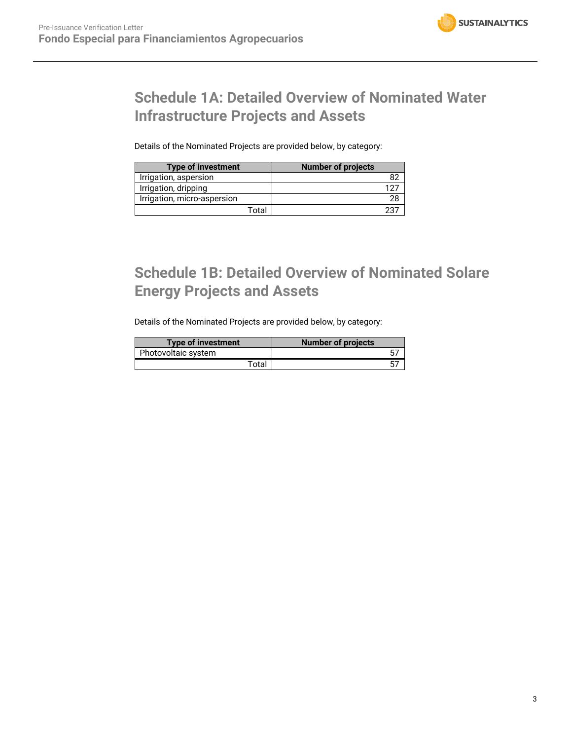# **Schedule 1A: Detailed Overview of Nominated Water Infrastructure Projects and Assets**

Details of the Nominated Projects are provided below, by category:

| <b>Type of investment</b>   |       | <b>Number of projects</b> |
|-----------------------------|-------|---------------------------|
| Irrigation, aspersion       |       |                           |
| Irrigation, dripping        |       |                           |
| Irrigation, micro-aspersion |       |                           |
|                             | Total |                           |

# **Schedule 1B: Detailed Overview of Nominated Solare Energy Projects and Assets**

Details of the Nominated Projects are provided below, by category:

| <b>Type of investment</b> | <b>Number of projects</b> |
|---------------------------|---------------------------|
| Photovoltaic system       |                           |
| Total                     |                           |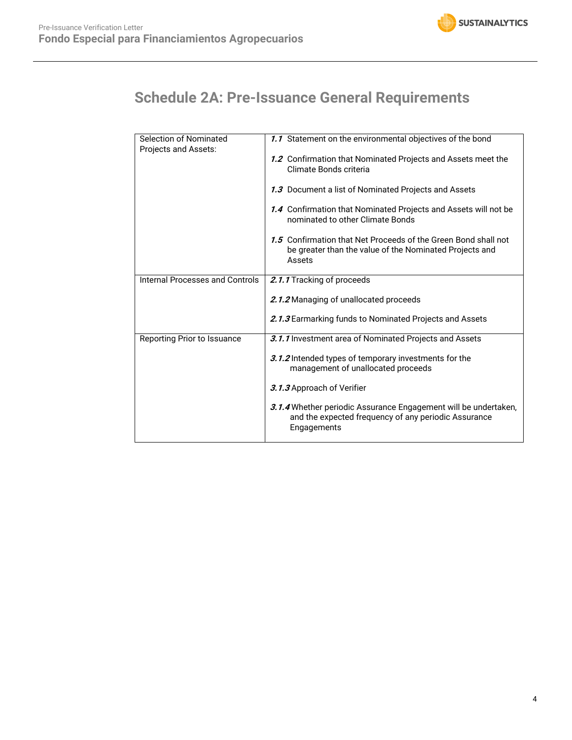

# **Schedule 2A: Pre-Issuance General Requirements**

| Selection of Nominated          | 1.1 Statement on the environmental objectives of the bond                                                                              |
|---------------------------------|----------------------------------------------------------------------------------------------------------------------------------------|
| Projects and Assets:            | 1.2 Confirmation that Nominated Projects and Assets meet the<br>Climate Bonds criteria                                                 |
|                                 | 1.3 Document a list of Nominated Projects and Assets                                                                                   |
|                                 | 1.4 Confirmation that Nominated Projects and Assets will not be<br>nominated to other Climate Bonds                                    |
|                                 | 1.5 Confirmation that Net Proceeds of the Green Bond shall not<br>be greater than the value of the Nominated Projects and<br>Assets    |
| Internal Processes and Controls | 2.1.1 Tracking of proceeds                                                                                                             |
|                                 | 2.1.2 Managing of unallocated proceeds                                                                                                 |
|                                 | 2.1.3 Earmarking funds to Nominated Projects and Assets                                                                                |
| Reporting Prior to Issuance     | 3.1.1 Investment area of Nominated Projects and Assets                                                                                 |
|                                 | 3.1.2 Intended types of temporary investments for the<br>management of unallocated proceeds                                            |
|                                 | 3.1.3 Approach of Verifier                                                                                                             |
|                                 | 3.1.4 Whether periodic Assurance Engagement will be undertaken,<br>and the expected frequency of any periodic Assurance<br>Engagements |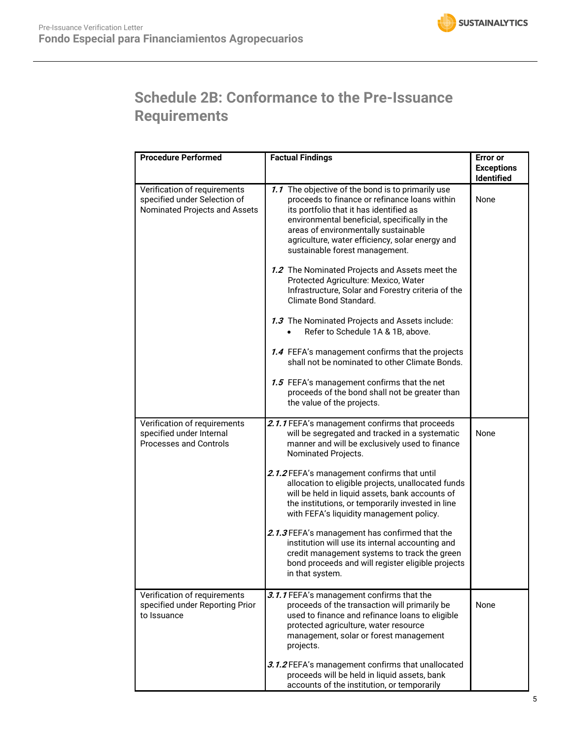# **Schedule 2B: Conformance to the Pre-Issuance Requirements**

| <b>Procedure Performed</b>                                                                    | <b>Factual Findings</b>                                                                                                                                                                                                                                                                                                                                                                                                                                                                                                                                                                                                                                                                                                                                                                                                           | <b>Error</b> or<br><b>Exceptions</b><br><b>Identified</b> |
|-----------------------------------------------------------------------------------------------|-----------------------------------------------------------------------------------------------------------------------------------------------------------------------------------------------------------------------------------------------------------------------------------------------------------------------------------------------------------------------------------------------------------------------------------------------------------------------------------------------------------------------------------------------------------------------------------------------------------------------------------------------------------------------------------------------------------------------------------------------------------------------------------------------------------------------------------|-----------------------------------------------------------|
| Verification of requirements<br>specified under Selection of<br>Nominated Projects and Assets | 1.1 The objective of the bond is to primarily use<br>proceeds to finance or refinance loans within<br>its portfolio that it has identified as<br>environmental beneficial, specifically in the<br>areas of environmentally sustainable<br>agriculture, water efficiency, solar energy and<br>sustainable forest management.<br>1.2 The Nominated Projects and Assets meet the<br>Protected Agriculture: Mexico, Water<br>Infrastructure, Solar and Forestry criteria of the<br>Climate Bond Standard.<br>1.3 The Nominated Projects and Assets include:<br>Refer to Schedule 1A & 1B, above.<br>1.4 FEFA's management confirms that the projects<br>shall not be nominated to other Climate Bonds.<br>1.5 FEFA's management confirms that the net<br>proceeds of the bond shall not be greater than<br>the value of the projects. | None                                                      |
| Verification of requirements<br>specified under Internal<br><b>Processes and Controls</b>     | 2.1.1 FEFA's management confirms that proceeds<br>will be segregated and tracked in a systematic<br>manner and will be exclusively used to finance<br>Nominated Projects.<br>2.1.2 FEFA's management confirms that until<br>allocation to eligible projects, unallocated funds<br>will be held in liquid assets, bank accounts of<br>the institutions, or temporarily invested in line<br>with FEFA's liquidity management policy.<br>2.1.3 FEFA's management has confirmed that the<br>institution will use its internal accounting and<br>credit management systems to track the green<br>bond proceeds and will register eligible projects<br>in that system.                                                                                                                                                                  | None                                                      |
| Verification of requirements<br>specified under Reporting Prior<br>to Issuance                | 3.1.1 FEFA's management confirms that the<br>proceeds of the transaction will primarily be<br>used to finance and refinance loans to eligible<br>protected agriculture, water resource<br>management, solar or forest management<br>projects.<br>3.1.2 FEFA's management confirms that unallocated<br>proceeds will be held in liquid assets, bank<br>accounts of the institution, or temporarily                                                                                                                                                                                                                                                                                                                                                                                                                                 | None                                                      |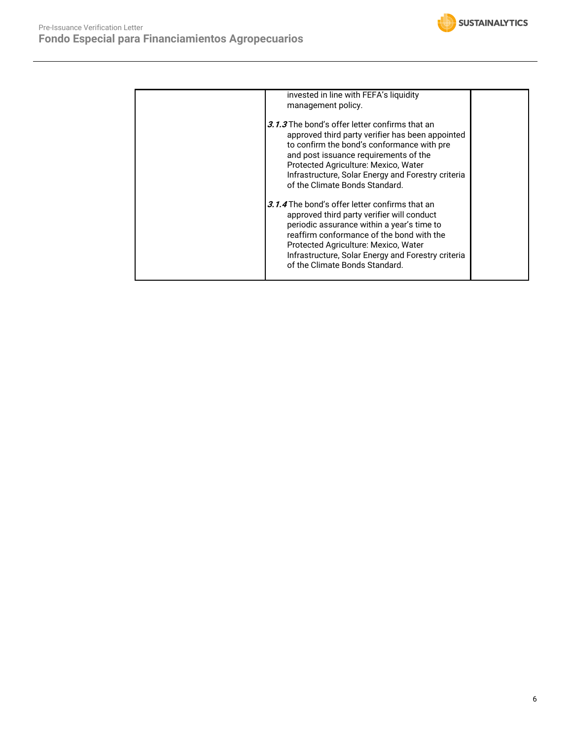

| invested in line with FEFA's liquidity<br>management policy.                                                                                                                                                                                                                                                                                                                                                                                                                                                                                                                                                                                         |  |
|------------------------------------------------------------------------------------------------------------------------------------------------------------------------------------------------------------------------------------------------------------------------------------------------------------------------------------------------------------------------------------------------------------------------------------------------------------------------------------------------------------------------------------------------------------------------------------------------------------------------------------------------------|--|
| 3.1.3 The bond's offer letter confirms that an<br>approved third party verifier has been appointed<br>to confirm the bond's conformance with pre<br>and post issuance requirements of the<br>Protected Agriculture: Mexico, Water<br>Infrastructure, Solar Energy and Forestry criteria<br>of the Climate Bonds Standard.<br>3.1.4 The bond's offer letter confirms that an<br>approved third party verifier will conduct<br>periodic assurance within a year's time to<br>reaffirm conformance of the bond with the<br>Protected Agriculture: Mexico, Water<br>Infrastructure, Solar Energy and Forestry criteria<br>of the Climate Bonds Standard. |  |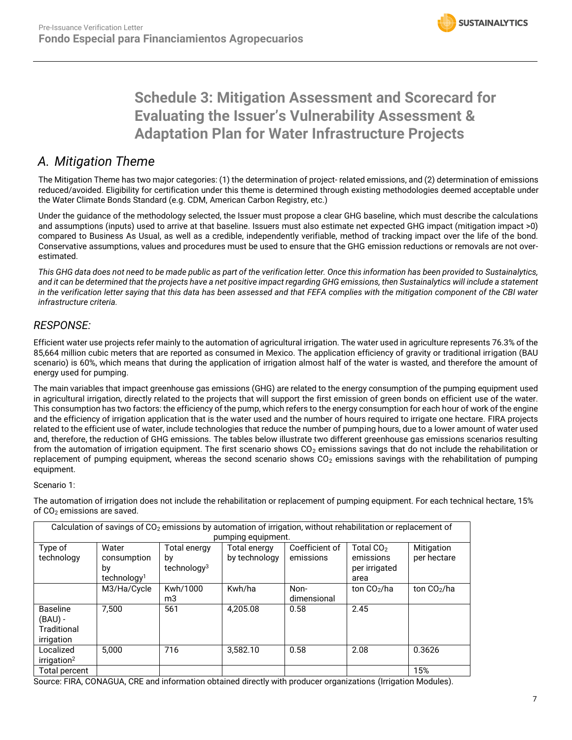# **Schedule 3: Mitigation Assessment and Scorecard for Evaluating the Issuer's Vulnerability Assessment & Adaptation Plan for Water Infrastructure Projects**

## *A. Mitigation Theme*

The Mitigation Theme has two major categories: (1) the determination of project- related emissions, and (2) determination of emissions reduced/avoided. Eligibility for certification under this theme is determined through existing methodologies deemed acceptable under the Water Climate Bonds Standard (e.g. CDM, American Carbon Registry, etc.)

Under the guidance of the methodology selected, the Issuer must propose a clear GHG baseline, which must describe the calculations and assumptions (inputs) used to arrive at that baseline. Issuers must also estimate net expected GHG impact (mitigation impact >0) compared to Business As Usual, as well as a credible, independently verifiable, method of tracking impact over the life of the bond. Conservative assumptions, values and procedures must be used to ensure that the GHG emission reductions or removals are not overestimated.

*This GHG data does not need to be made public as part of the verification letter. Once this information has been provided to Sustainalytics, and it can be determined that the projects have a net positive impact regarding GHG emissions, then Sustainalytics will include a statement in the verification letter saying that this data has been assessed and that FEFA complies with the mitigation component of the CBI water infrastructure criteria.* 

## *RESPONSE:*

Efficient water use projects refer mainly to the automation of agricultural irrigation. The water used in agriculture represents 76.3% of the 85,664 million cubic meters that are reported as consumed in Mexico. The application efficiency of gravity or traditional irrigation (BAU scenario) is 60%, which means that during the application of irrigation almost half of the water is wasted, and therefore the amount of energy used for pumping.

The main variables that impact greenhouse gas emissions (GHG) are related to the energy consumption of the pumping equipment used in agricultural irrigation, directly related to the projects that will support the first emission of green bonds on efficient use of the water. This consumption has two factors: the efficiency of the pump, which refers to the energy consumption for each hour of work of the engine and the efficiency of irrigation application that is the water used and the number of hours required to irrigate one hectare. FIRA projects related to the efficient use of water, include technologies that reduce the number of pumping hours, due to a lower amount of water used and, therefore, the reduction of GHG emissions. The tables below illustrate two different greenhouse gas emissions scenarios resulting from the automation of irrigation equipment. The first scenario shows  $CO<sub>2</sub>$  emissions savings that do not include the rehabilitation or replacement of pumping equipment, whereas the second scenario shows  $CO<sub>2</sub>$  emissions savings with the rehabilitation of pumping equipment.

### Scenario 1:

The automation of irrigation does not include the rehabilitation or replacement of pumping equipment. For each technical hectare, 15% of  $CO<sub>2</sub>$  emissions are saved.

| Calculation of savings of CO <sub>2</sub> emissions by automation of irrigation, without rehabilitation or replacement of<br>pumping equipment. |                                                       |                                                      |                               |                             |                                                             |                           |
|-------------------------------------------------------------------------------------------------------------------------------------------------|-------------------------------------------------------|------------------------------------------------------|-------------------------------|-----------------------------|-------------------------------------------------------------|---------------------------|
| Type of<br>technology                                                                                                                           | Water<br>consumption<br>by<br>technology <sup>1</sup> | <b>Total energy</b><br>by<br>technology <sup>3</sup> | Total energy<br>by technology | Coefficient of<br>emissions | Total CO <sub>2</sub><br>emissions<br>per irrigated<br>area | Mitigation<br>per hectare |
|                                                                                                                                                 | M3/Ha/Cycle                                           | Kwh/1000<br>m3                                       | Kwh/ha                        | Non-<br>dimensional         | ton $CO2/ha$                                                | ton $CO2/ha$              |
| <b>Baseline</b><br>$(BAU)$ -<br>Traditional<br>irrigation                                                                                       | 7.500                                                 | 561                                                  | 4.205.08                      | 0.58                        | 2.45                                                        |                           |
| Localized<br>irrigation <sup>2</sup>                                                                                                            | 5.000                                                 | 716                                                  | 3,582.10                      | 0.58                        | 2.08                                                        | 0.3626                    |
| Total percent                                                                                                                                   |                                                       |                                                      |                               |                             |                                                             | 15%                       |

Source: FIRA, CONAGUA, CRE and information obtained directly with producer organizations (Irrigation Modules).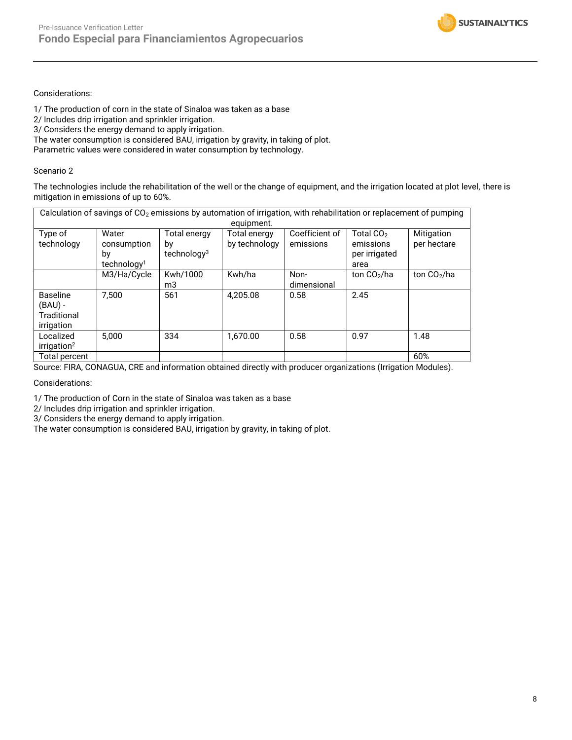

### Considerations:

1/ The production of corn in the state of Sinaloa was taken as a base

2/ Includes drip irrigation and sprinkler irrigation.

3/ Considers the energy demand to apply irrigation.

The water consumption is considered BAU, irrigation by gravity, in taking of plot.

Parametric values were considered in water consumption by technology.

### Scenario 2

The technologies include the rehabilitation of the well or the change of equipment, and the irrigation located at plot level, there is mitigation in emissions of up to 60%.

| Calculation of savings of CO <sub>2</sub> emissions by automation of irrigation, with rehabilitation or replacement of pumping<br>equipment. |                                                       |                                                      |                                      |                             |                                                             |                           |
|----------------------------------------------------------------------------------------------------------------------------------------------|-------------------------------------------------------|------------------------------------------------------|--------------------------------------|-----------------------------|-------------------------------------------------------------|---------------------------|
| Type of<br>technology                                                                                                                        | Water<br>consumption<br>by<br>technology <sup>1</sup> | <b>Total energy</b><br>by<br>technology <sup>3</sup> | <b>Total energy</b><br>by technology | Coefficient of<br>emissions | Total CO <sub>2</sub><br>emissions<br>per irrigated<br>area | Mitigation<br>per hectare |
|                                                                                                                                              | M3/Ha/Cycle                                           | Kwh/1000<br>mЗ                                       | Kwh/ha                               | Non-<br>dimensional         | ton $CO2/ha$                                                | ton $CO2/ha$              |
| <b>Baseline</b><br>$(BAU)$ -<br>Traditional<br>irrigation                                                                                    | 7.500                                                 | 561                                                  | 4.205.08                             | 0.58                        | 2.45                                                        |                           |
| Localized<br>irrigation <sup>2</sup>                                                                                                         | 5,000                                                 | 334                                                  | 1.670.00                             | 0.58                        | 0.97                                                        | 1.48                      |
| Total percent                                                                                                                                |                                                       |                                                      |                                      |                             |                                                             | 60%                       |

Source: FIRA, CONAGUA, CRE and information obtained directly with producer organizations (Irrigation Modules).

Considerations:

1/ The production of Corn in the state of Sinaloa was taken as a base

2/ Includes drip irrigation and sprinkler irrigation.

3/ Considers the energy demand to apply irrigation.

The water consumption is considered BAU, irrigation by gravity, in taking of plot.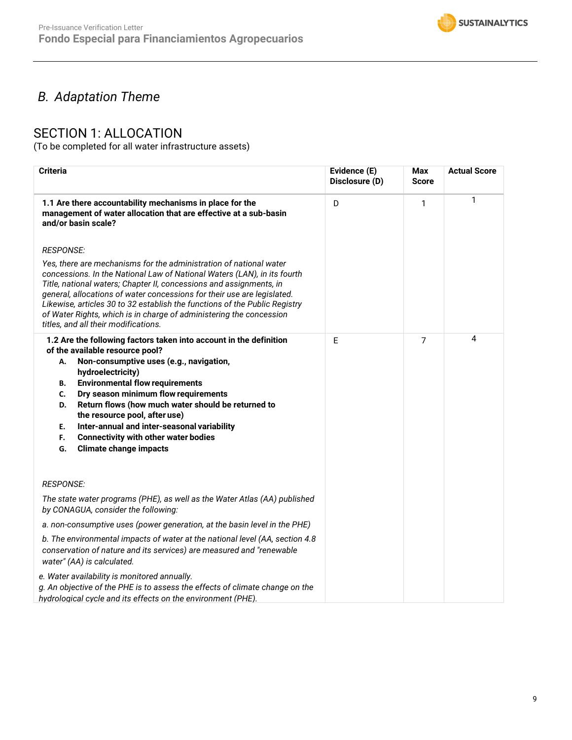

# *B. Adaptation Theme*

## SECTION 1: ALLOCATION

(To be completed for all water infrastructure assets)

| <b>Criteria</b>                                                                                                                                                                                                                                                                                                                                                                                                                                                                                                         | Evidence (E)<br>Disclosure (D) | Max<br><b>Score</b> | <b>Actual Score</b> |
|-------------------------------------------------------------------------------------------------------------------------------------------------------------------------------------------------------------------------------------------------------------------------------------------------------------------------------------------------------------------------------------------------------------------------------------------------------------------------------------------------------------------------|--------------------------------|---------------------|---------------------|
| 1.1 Are there accountability mechanisms in place for the<br>management of water allocation that are effective at a sub-basin<br>and/or basin scale?                                                                                                                                                                                                                                                                                                                                                                     | D                              | 1                   | 1                   |
| <b>RESPONSE:</b><br>Yes, there are mechanisms for the administration of national water<br>concessions. In the National Law of National Waters (LAN), in its fourth<br>Title, national waters; Chapter II, concessions and assignments, in<br>general, allocations of water concessions for their use are legislated.<br>Likewise, articles 30 to 32 establish the functions of the Public Registry<br>of Water Rights, which is in charge of administering the concession<br>titles, and all their modifications.       |                                |                     |                     |
| 1.2 Are the following factors taken into account in the definition<br>of the available resource pool?<br>Non-consumptive uses (e.g., navigation,<br>А.<br>hydroelectricity)<br><b>Environmental flow requirements</b><br>В.<br>Dry season minimum flow requirements<br>C.<br>Return flows (how much water should be returned to<br>D.<br>the resource pool, after use)<br>Inter-annual and inter-seasonal variability<br>Е.<br><b>Connectivity with other water bodies</b><br>F.<br><b>Climate change impacts</b><br>G. | E                              | 7                   | 4                   |
| <b>RESPONSE:</b>                                                                                                                                                                                                                                                                                                                                                                                                                                                                                                        |                                |                     |                     |
| The state water programs (PHE), as well as the Water Atlas (AA) published<br>by CONAGUA, consider the following:                                                                                                                                                                                                                                                                                                                                                                                                        |                                |                     |                     |
| a. non-consumptive uses (power generation, at the basin level in the PHE)                                                                                                                                                                                                                                                                                                                                                                                                                                               |                                |                     |                     |
| b. The environmental impacts of water at the national level (AA, section 4.8<br>conservation of nature and its services) are measured and "renewable<br>water" (AA) is calculated.                                                                                                                                                                                                                                                                                                                                      |                                |                     |                     |
| e. Water availability is monitored annually.<br>g. An objective of the PHE is to assess the effects of climate change on the<br>hydrological cycle and its effects on the environment (PHE).                                                                                                                                                                                                                                                                                                                            |                                |                     |                     |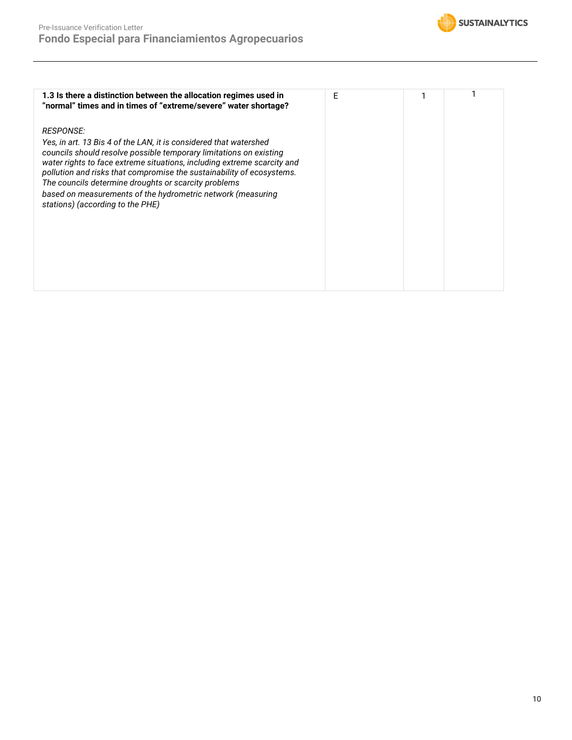

| 1.3 Is there a distinction between the allocation regimes used in<br>"normal" times and in times of "extreme/severe" water shortage?                                                                                                                                                                                                                                                                                                                                       | F |  |
|----------------------------------------------------------------------------------------------------------------------------------------------------------------------------------------------------------------------------------------------------------------------------------------------------------------------------------------------------------------------------------------------------------------------------------------------------------------------------|---|--|
| <i>RESPONSE:</i><br>Yes, in art. 13 Bis 4 of the LAN, it is considered that watershed<br>councils should resolve possible temporary limitations on existing<br>water rights to face extreme situations, including extreme scarcity and<br>pollution and risks that compromise the sustainability of ecosystems.<br>The councils determine droughts or scarcity problems<br>based on measurements of the hydrometric network (measuring<br>stations) (according to the PHE) |   |  |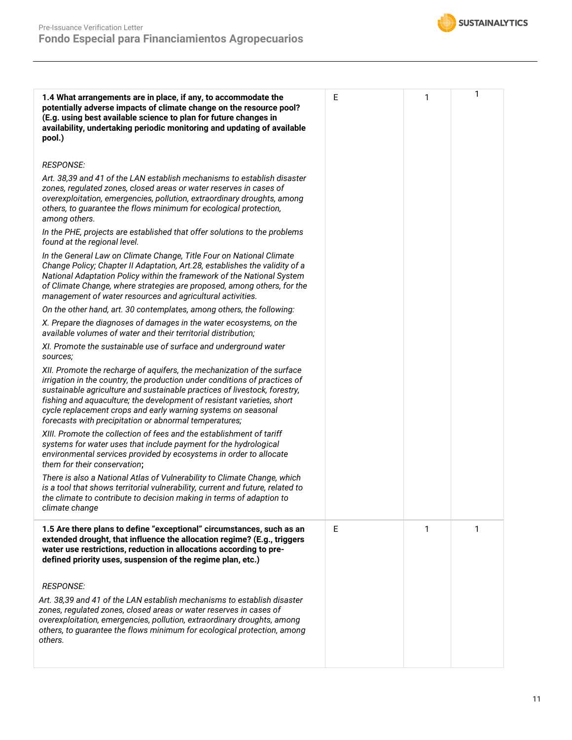

| 1.4 What arrangements are in place, if any, to accommodate the<br>potentially adverse impacts of climate change on the resource pool?<br>(E.g. using best available science to plan for future changes in<br>availability, undertaking periodic monitoring and updating of available<br>pool.)                                                                                                                                          | E | 1 | 1 |
|-----------------------------------------------------------------------------------------------------------------------------------------------------------------------------------------------------------------------------------------------------------------------------------------------------------------------------------------------------------------------------------------------------------------------------------------|---|---|---|
| <b>RESPONSE:</b>                                                                                                                                                                                                                                                                                                                                                                                                                        |   |   |   |
| Art. 38,39 and 41 of the LAN establish mechanisms to establish disaster<br>zones, regulated zones, closed areas or water reserves in cases of<br>overexploitation, emergencies, pollution, extraordinary droughts, among<br>others, to guarantee the flows minimum for ecological protection,<br>among others.                                                                                                                          |   |   |   |
| In the PHE, projects are established that offer solutions to the problems<br>found at the regional level.                                                                                                                                                                                                                                                                                                                               |   |   |   |
| In the General Law on Climate Change, Title Four on National Climate<br>Change Policy; Chapter II Adaptation, Art.28, establishes the validity of a<br>National Adaptation Policy within the framework of the National System<br>of Climate Change, where strategies are proposed, among others, for the<br>management of water resources and agricultural activities.                                                                  |   |   |   |
| On the other hand, art. 30 contemplates, among others, the following:                                                                                                                                                                                                                                                                                                                                                                   |   |   |   |
| X. Prepare the diagnoses of damages in the water ecosystems, on the<br>available volumes of water and their territorial distribution;                                                                                                                                                                                                                                                                                                   |   |   |   |
| XI. Promote the sustainable use of surface and underground water<br>sources;                                                                                                                                                                                                                                                                                                                                                            |   |   |   |
| XII. Promote the recharge of aquifers, the mechanization of the surface<br>irrigation in the country, the production under conditions of practices of<br>sustainable agriculture and sustainable practices of livestock, forestry,<br>fishing and aquaculture; the development of resistant varieties, short<br>cycle replacement crops and early warning systems on seasonal<br>forecasts with precipitation or abnormal temperatures; |   |   |   |
| XIII. Promote the collection of fees and the establishment of tariff<br>systems for water uses that include payment for the hydrological<br>environmental services provided by ecosystems in order to allocate<br>them for their conservation;                                                                                                                                                                                          |   |   |   |
| There is also a National Atlas of Vulnerability to Climate Change, which<br>is a tool that shows territorial vulnerability, current and future, related to<br>the climate to contribute to decision making in terms of adaption to<br>climate change                                                                                                                                                                                    |   |   |   |
| 1.5 Are there plans to define "exceptional" circumstances, such as an<br>extended drought, that influence the allocation regime? (E.g., triggers<br>water use restrictions, reduction in allocations according to pre-<br>defined priority uses, suspension of the regime plan, etc.)                                                                                                                                                   | E | 1 | 1 |
| <b>RESPONSE:</b>                                                                                                                                                                                                                                                                                                                                                                                                                        |   |   |   |
| Art. 38,39 and 41 of the LAN establish mechanisms to establish disaster<br>zones, regulated zones, closed areas or water reserves in cases of<br>overexploitation, emergencies, pollution, extraordinary droughts, among<br>others, to guarantee the flows minimum for ecological protection, among<br>others.                                                                                                                          |   |   |   |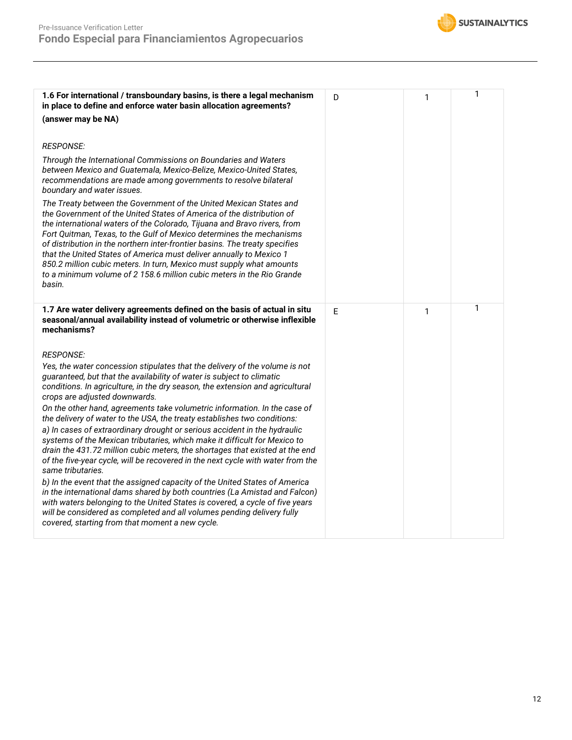

| 1.6 For international / transboundary basins, is there a legal mechanism<br>in place to define and enforce water basin allocation agreements?                                                                                                                                                                                                                                                                                                                                                                                                                                                                                                                                                                                                                                                                                                                                                                                                                                                                                                                                                                                                                                  | D | 1 | 1 |
|--------------------------------------------------------------------------------------------------------------------------------------------------------------------------------------------------------------------------------------------------------------------------------------------------------------------------------------------------------------------------------------------------------------------------------------------------------------------------------------------------------------------------------------------------------------------------------------------------------------------------------------------------------------------------------------------------------------------------------------------------------------------------------------------------------------------------------------------------------------------------------------------------------------------------------------------------------------------------------------------------------------------------------------------------------------------------------------------------------------------------------------------------------------------------------|---|---|---|
| (answer may be NA)                                                                                                                                                                                                                                                                                                                                                                                                                                                                                                                                                                                                                                                                                                                                                                                                                                                                                                                                                                                                                                                                                                                                                             |   |   |   |
| <b>RESPONSE:</b><br>Through the International Commissions on Boundaries and Waters<br>between Mexico and Guatemala, Mexico-Belize, Mexico-United States,<br>recommendations are made among governments to resolve bilateral<br>boundary and water issues.<br>The Treaty between the Government of the United Mexican States and<br>the Government of the United States of America of the distribution of<br>the international waters of the Colorado, Tijuana and Bravo rivers, from<br>Fort Quitman, Texas, to the Gulf of Mexico determines the mechanisms                                                                                                                                                                                                                                                                                                                                                                                                                                                                                                                                                                                                                   |   |   |   |
| of distribution in the northern inter-frontier basins. The treaty specifies<br>that the United States of America must deliver annually to Mexico 1<br>850.2 million cubic meters. In turn, Mexico must supply what amounts<br>to a minimum volume of 2 158.6 million cubic meters in the Rio Grande<br>basin.                                                                                                                                                                                                                                                                                                                                                                                                                                                                                                                                                                                                                                                                                                                                                                                                                                                                  |   |   |   |
| 1.7 Are water delivery agreements defined on the basis of actual in situ<br>seasonal/annual availability instead of volumetric or otherwise inflexible<br>mechanisms?                                                                                                                                                                                                                                                                                                                                                                                                                                                                                                                                                                                                                                                                                                                                                                                                                                                                                                                                                                                                          | E | 1 | 1 |
| <b>RESPONSE:</b><br>Yes, the water concession stipulates that the delivery of the volume is not<br>guaranteed, but that the availability of water is subject to climatic<br>conditions. In agriculture, in the dry season, the extension and agricultural<br>crops are adjusted downwards.<br>On the other hand, agreements take volumetric information. In the case of<br>the delivery of water to the USA, the treaty establishes two conditions:<br>a) In cases of extraordinary drought or serious accident in the hydraulic<br>systems of the Mexican tributaries, which make it difficult for Mexico to<br>drain the 431.72 million cubic meters, the shortages that existed at the end<br>of the five-year cycle, will be recovered in the next cycle with water from the<br>same tributaries.<br>b) In the event that the assigned capacity of the United States of America<br>in the international dams shared by both countries (La Amistad and Falcon)<br>with waters belonging to the United States is covered, a cycle of five years<br>will be considered as completed and all volumes pending delivery fully<br>covered, starting from that moment a new cycle. |   |   |   |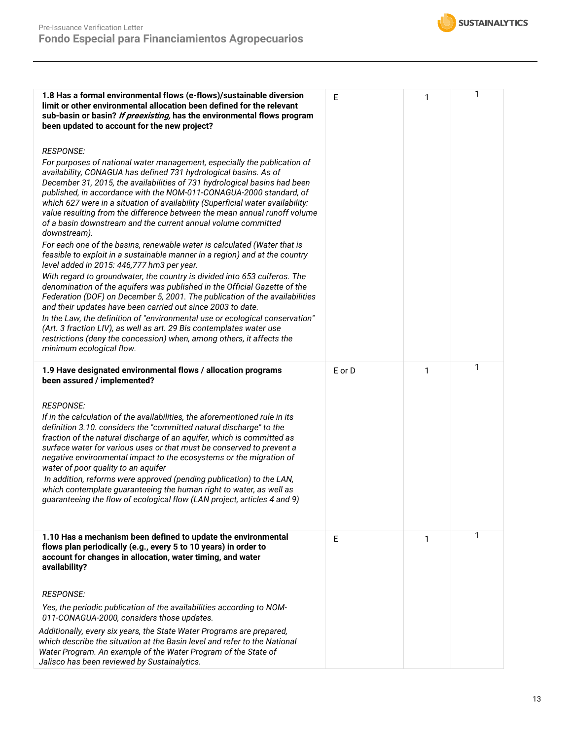

| 1.8 Has a formal environmental flows (e-flows)/sustainable diversion<br>limit or other environmental allocation been defined for the relevant<br>sub-basin or basin? If preexisting, has the environmental flows program<br>been updated to account for the new project?                                                                                                                                                                                                                                                                                                                                                                                           | E      | 1 | 1 |
|--------------------------------------------------------------------------------------------------------------------------------------------------------------------------------------------------------------------------------------------------------------------------------------------------------------------------------------------------------------------------------------------------------------------------------------------------------------------------------------------------------------------------------------------------------------------------------------------------------------------------------------------------------------------|--------|---|---|
| <b>RESPONSE:</b><br>For purposes of national water management, especially the publication of<br>availability, CONAGUA has defined 731 hydrological basins. As of<br>December 31, 2015, the availabilities of 731 hydrological basins had been<br>published, in accordance with the NOM-011-CONAGUA-2000 standard, of<br>which 627 were in a situation of availability (Superficial water availability:<br>value resulting from the difference between the mean annual runoff volume<br>of a basin downstream and the current annual volume committed<br>downstream).<br>For each one of the basins, renewable water is calculated (Water that is                   |        |   |   |
| feasible to exploit in a sustainable manner in a region) and at the country<br>level added in 2015: 446,777 hm3 per year.                                                                                                                                                                                                                                                                                                                                                                                                                                                                                                                                          |        |   |   |
| With regard to groundwater, the country is divided into 653 cuíferos. The<br>denomination of the aquifers was published in the Official Gazette of the<br>Federation (DOF) on December 5, 2001. The publication of the availabilities<br>and their updates have been carried out since 2003 to date.                                                                                                                                                                                                                                                                                                                                                               |        |   |   |
| In the Law, the definition of "environmental use or ecological conservation"<br>(Art. 3 fraction LIV), as well as art. 29 Bis contemplates water use<br>restrictions (deny the concession) when, among others, it affects the<br>minimum ecological flow.                                                                                                                                                                                                                                                                                                                                                                                                          |        |   |   |
| 1.9 Have designated environmental flows / allocation programs<br>been assured / implemented?                                                                                                                                                                                                                                                                                                                                                                                                                                                                                                                                                                       | E or D | 1 | 1 |
| <b>RESPONSE:</b><br>If in the calculation of the availabilities, the aforementioned rule in its<br>definition 3.10. considers the "committed natural discharge" to the<br>fraction of the natural discharge of an aquifer, which is committed as<br>surface water for various uses or that must be conserved to prevent a<br>negative environmental impact to the ecosystems or the migration of<br>water of poor quality to an aquifer<br>In addition, reforms were approved (pending publication) to the LAN,<br>which contemplate guaranteeing the human right to water, as well as<br>guaranteeing the flow of ecological flow (LAN project, articles 4 and 9) |        |   |   |
| 1.10 Has a mechanism been defined to update the environmental<br>flows plan periodically (e.g., every 5 to 10 years) in order to<br>account for changes in allocation, water timing, and water<br>availability?                                                                                                                                                                                                                                                                                                                                                                                                                                                    | E      | 1 | 1 |
| <b>RESPONSE:</b>                                                                                                                                                                                                                                                                                                                                                                                                                                                                                                                                                                                                                                                   |        |   |   |
| Yes, the periodic publication of the availabilities according to NOM-<br>011-CONAGUA-2000, considers those updates.                                                                                                                                                                                                                                                                                                                                                                                                                                                                                                                                                |        |   |   |
| Additionally, every six years, the State Water Programs are prepared,<br>which describe the situation at the Basin level and refer to the National<br>Water Program. An example of the Water Program of the State of<br>Jalisco has been reviewed by Sustainalytics.                                                                                                                                                                                                                                                                                                                                                                                               |        |   |   |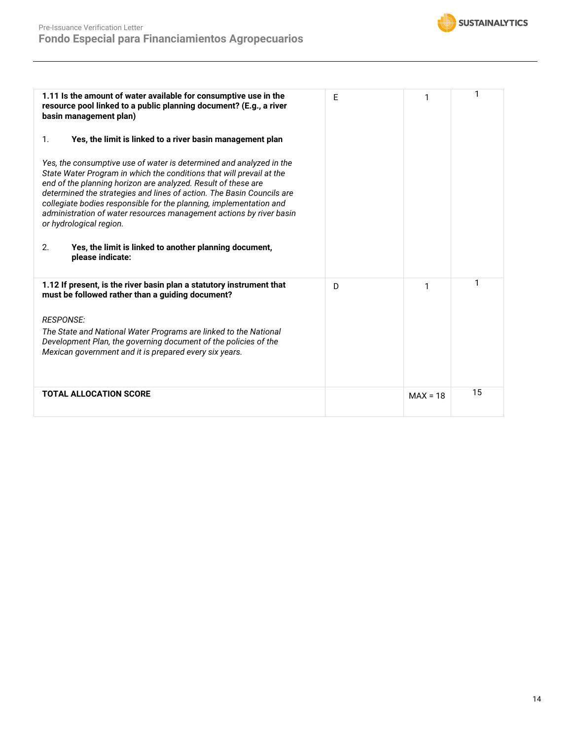

| 1.11 Is the amount of water available for consumptive use in the<br>resource pool linked to a public planning document? (E.g., a river<br>basin management plan)                                                                                                                                                                                                                                                                                                                                                                                  | E | 1          | 1  |
|---------------------------------------------------------------------------------------------------------------------------------------------------------------------------------------------------------------------------------------------------------------------------------------------------------------------------------------------------------------------------------------------------------------------------------------------------------------------------------------------------------------------------------------------------|---|------------|----|
| 1.<br>Yes, the limit is linked to a river basin management plan                                                                                                                                                                                                                                                                                                                                                                                                                                                                                   |   |            |    |
| Yes, the consumptive use of water is determined and analyzed in the<br>State Water Program in which the conditions that will prevail at the<br>end of the planning horizon are analyzed. Result of these are<br>determined the strategies and lines of action. The Basin Councils are<br>collegiate bodies responsible for the planning, implementation and<br>administration of water resources management actions by river basin<br>or hydrological region.<br>2.<br>Yes, the limit is linked to another planning document,<br>please indicate: |   |            |    |
| 1.12 If present, is the river basin plan a statutory instrument that<br>must be followed rather than a guiding document?                                                                                                                                                                                                                                                                                                                                                                                                                          | D | 1          | 1  |
| <b>RESPONSE:</b>                                                                                                                                                                                                                                                                                                                                                                                                                                                                                                                                  |   |            |    |
| The State and National Water Programs are linked to the National<br>Development Plan, the governing document of the policies of the<br>Mexican government and it is prepared every six years.                                                                                                                                                                                                                                                                                                                                                     |   |            |    |
| <b>TOTAL ALLOCATION SCORE</b>                                                                                                                                                                                                                                                                                                                                                                                                                                                                                                                     |   | $MAX = 18$ | 15 |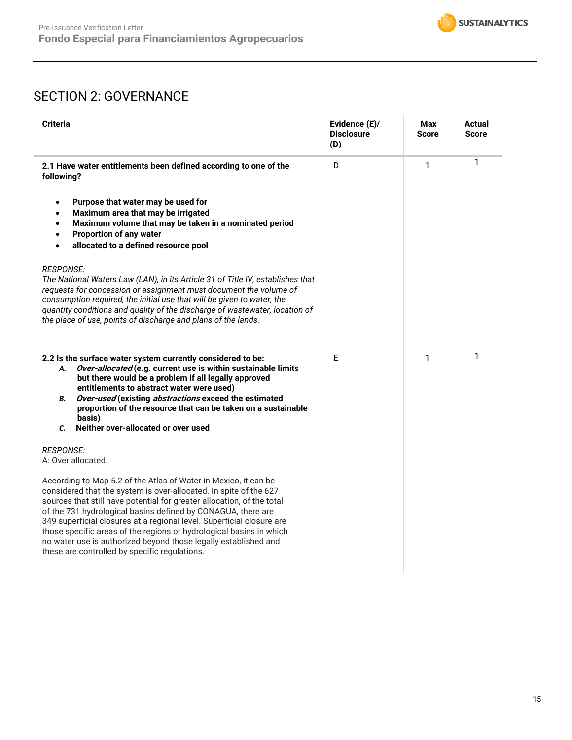

# SECTION 2: GOVERNANCE

| <b>Criteria</b>                                                                                                                                                                                                                                                                                                                                                                                                                                                                                                                                    | Evidence (E)/<br><b>Disclosure</b><br>(D) | Max<br><b>Score</b> | Actual<br><b>Score</b> |
|----------------------------------------------------------------------------------------------------------------------------------------------------------------------------------------------------------------------------------------------------------------------------------------------------------------------------------------------------------------------------------------------------------------------------------------------------------------------------------------------------------------------------------------------------|-------------------------------------------|---------------------|------------------------|
| 2.1 Have water entitlements been defined according to one of the<br>following?                                                                                                                                                                                                                                                                                                                                                                                                                                                                     | D                                         | 1                   | 1                      |
| Purpose that water may be used for<br>$\bullet$<br>Maximum area that may be irrigated<br>$\bullet$<br>Maximum volume that may be taken in a nominated period<br>$\bullet$<br><b>Proportion of any water</b><br>$\bullet$<br>allocated to a defined resource pool<br>$\bullet$                                                                                                                                                                                                                                                                      |                                           |                     |                        |
| <b>RESPONSE:</b><br>The National Waters Law (LAN), in its Article 31 of Title IV, establishes that<br>requests for concession or assignment must document the volume of<br>consumption required, the initial use that will be given to water, the<br>quantity conditions and quality of the discharge of wastewater, location of<br>the place of use, points of discharge and plans of the lands.                                                                                                                                                  |                                           |                     |                        |
| 2.2 Is the surface water system currently considered to be:<br>Over-allocated (e.g. current use is within sustainable limits<br>А.<br>but there would be a problem if all legally approved<br>entitlements to abstract water were used)<br>Over-used (existing abstractions exceed the estimated<br>В.<br>proportion of the resource that can be taken on a sustainable<br>basis)<br>Neither over-allocated or over used<br>$\mathcal{C}$                                                                                                          | E                                         | 1                   | 1                      |
| <b>RESPONSE:</b><br>A: Over allocated.                                                                                                                                                                                                                                                                                                                                                                                                                                                                                                             |                                           |                     |                        |
| According to Map 5.2 of the Atlas of Water in Mexico, it can be<br>considered that the system is over-allocated. In spite of the 627<br>sources that still have potential for greater allocation, of the total<br>of the 731 hydrological basins defined by CONAGUA, there are<br>349 superficial closures at a regional level. Superficial closure are<br>those specific areas of the regions or hydrological basins in which<br>no water use is authorized beyond those legally established and<br>these are controlled by specific regulations. |                                           |                     |                        |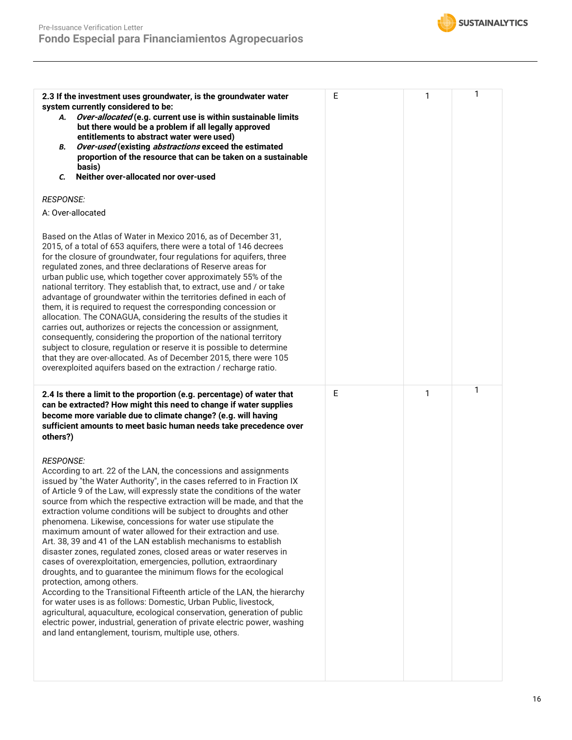

| 2.3 If the investment uses groundwater, is the groundwater water<br>system currently considered to be:<br>Over-allocated (e.g. current use is within sustainable limits<br>А.<br>but there would be a problem if all legally approved<br>entitlements to abstract water were used)<br>Over-used (existing abstractions exceed the estimated<br>В.<br>proportion of the resource that can be taken on a sustainable<br>basis)<br>Neither over-allocated nor over-used<br>C.                                                                                                                                                                                                                                                                                                                                                                                                                                                                                                                                                                                                                                                                                                                                     | E | 1 | 1 |
|----------------------------------------------------------------------------------------------------------------------------------------------------------------------------------------------------------------------------------------------------------------------------------------------------------------------------------------------------------------------------------------------------------------------------------------------------------------------------------------------------------------------------------------------------------------------------------------------------------------------------------------------------------------------------------------------------------------------------------------------------------------------------------------------------------------------------------------------------------------------------------------------------------------------------------------------------------------------------------------------------------------------------------------------------------------------------------------------------------------------------------------------------------------------------------------------------------------|---|---|---|
| <b>RESPONSE:</b>                                                                                                                                                                                                                                                                                                                                                                                                                                                                                                                                                                                                                                                                                                                                                                                                                                                                                                                                                                                                                                                                                                                                                                                               |   |   |   |
| A: Over-allocated<br>Based on the Atlas of Water in Mexico 2016, as of December 31,<br>2015, of a total of 653 aquifers, there were a total of 146 decrees<br>for the closure of groundwater, four regulations for aquifers, three<br>regulated zones, and three declarations of Reserve areas for<br>urban public use, which together cover approximately 55% of the<br>national territory. They establish that, to extract, use and / or take<br>advantage of groundwater within the territories defined in each of<br>them, it is required to request the corresponding concession or<br>allocation. The CONAGUA, considering the results of the studies it<br>carries out, authorizes or rejects the concession or assignment,<br>consequently, considering the proportion of the national territory<br>subject to closure, regulation or reserve it is possible to determine<br>that they are over-allocated. As of December 2015, there were 105<br>overexploited aquifers based on the extraction / recharge ratio.                                                                                                                                                                                     |   |   |   |
| 2.4 Is there a limit to the proportion (e.g. percentage) of water that<br>can be extracted? How might this need to change if water supplies<br>become more variable due to climate change? (e.g. will having<br>sufficient amounts to meet basic human needs take precedence over<br>others?)                                                                                                                                                                                                                                                                                                                                                                                                                                                                                                                                                                                                                                                                                                                                                                                                                                                                                                                  | E | 1 | 1 |
| <b>RESPONSE:</b><br>According to art. 22 of the LAN, the concessions and assignments<br>issued by "the Water Authority", in the cases referred to in Fraction IX<br>of Article 9 of the Law, will expressly state the conditions of the water<br>source from which the respective extraction will be made, and that the<br>extraction volume conditions will be subject to droughts and other<br>phenomena. Likewise, concessions for water use stipulate the<br>maximum amount of water allowed for their extraction and use.<br>Art. 38, 39 and 41 of the LAN establish mechanisms to establish<br>disaster zones, regulated zones, closed areas or water reserves in<br>cases of overexploitation, emergencies, pollution, extraordinary<br>droughts, and to guarantee the minimum flows for the ecological<br>protection, among others.<br>According to the Transitional Fifteenth article of the LAN, the hierarchy<br>for water uses is as follows: Domestic, Urban Public, livestock,<br>agricultural, aquaculture, ecological conservation, generation of public<br>electric power, industrial, generation of private electric power, washing<br>and land entanglement, tourism, multiple use, others. |   |   |   |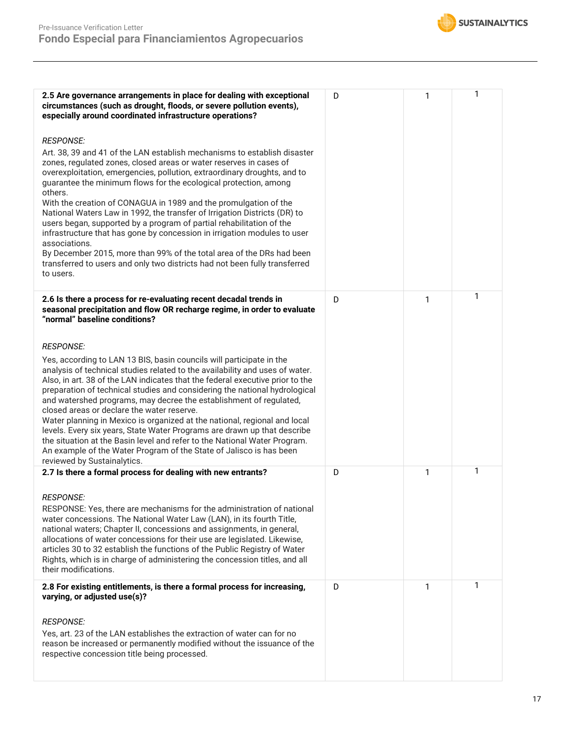

| 2.5 Are governance arrangements in place for dealing with exceptional<br>circumstances (such as drought, floods, or severe pollution events),<br>especially around coordinated infrastructure operations?                                                                                                                                                                                                                                                                                                                                                                                                                                                                                                                                                                                                               | D | 1 | 1 |
|-------------------------------------------------------------------------------------------------------------------------------------------------------------------------------------------------------------------------------------------------------------------------------------------------------------------------------------------------------------------------------------------------------------------------------------------------------------------------------------------------------------------------------------------------------------------------------------------------------------------------------------------------------------------------------------------------------------------------------------------------------------------------------------------------------------------------|---|---|---|
| <b>RESPONSE:</b><br>Art. 38, 39 and 41 of the LAN establish mechanisms to establish disaster<br>zones, regulated zones, closed areas or water reserves in cases of<br>overexploitation, emergencies, pollution, extraordinary droughts, and to<br>guarantee the minimum flows for the ecological protection, among<br>others.<br>With the creation of CONAGUA in 1989 and the promulgation of the<br>National Waters Law in 1992, the transfer of Irrigation Districts (DR) to<br>users began, supported by a program of partial rehabilitation of the<br>infrastructure that has gone by concession in irrigation modules to user<br>associations.<br>By December 2015, more than 99% of the total area of the DRs had been<br>transferred to users and only two districts had not been fully transferred<br>to users. |   |   |   |
| 2.6 Is there a process for re-evaluating recent decadal trends in<br>seasonal precipitation and flow OR recharge regime, in order to evaluate<br>"normal" baseline conditions?                                                                                                                                                                                                                                                                                                                                                                                                                                                                                                                                                                                                                                          | D | 1 | 1 |
| <b>RESPONSE:</b><br>Yes, according to LAN 13 BIS, basin councils will participate in the<br>analysis of technical studies related to the availability and uses of water.<br>Also, in art. 38 of the LAN indicates that the federal executive prior to the<br>preparation of technical studies and considering the national hydrological<br>and watershed programs, may decree the establishment of regulated,<br>closed areas or declare the water reserve.<br>Water planning in Mexico is organized at the national, regional and local<br>levels. Every six years, State Water Programs are drawn up that describe<br>the situation at the Basin level and refer to the National Water Program.<br>An example of the Water Program of the State of Jalisco is has been<br>reviewed by Sustainalytics.                 |   |   |   |
| 2.7 Is there a formal process for dealing with new entrants?<br><b>RESPONSE:</b><br>RESPONSE: Yes, there are mechanisms for the administration of national<br>water concessions. The National Water Law (LAN), in its fourth Title,<br>national waters; Chapter II, concessions and assignments, in general,<br>allocations of water concessions for their use are legislated. Likewise,<br>articles 30 to 32 establish the functions of the Public Registry of Water<br>Rights, which is in charge of administering the concession titles, and all<br>their modifications.                                                                                                                                                                                                                                             | D | 1 | 1 |
| 2.8 For existing entitlements, is there a formal process for increasing,<br>varying, or adjusted use(s)?<br><b>RESPONSE:</b><br>Yes, art. 23 of the LAN establishes the extraction of water can for no<br>reason be increased or permanently modified without the issuance of the<br>respective concession title being processed.                                                                                                                                                                                                                                                                                                                                                                                                                                                                                       | D | 1 | 1 |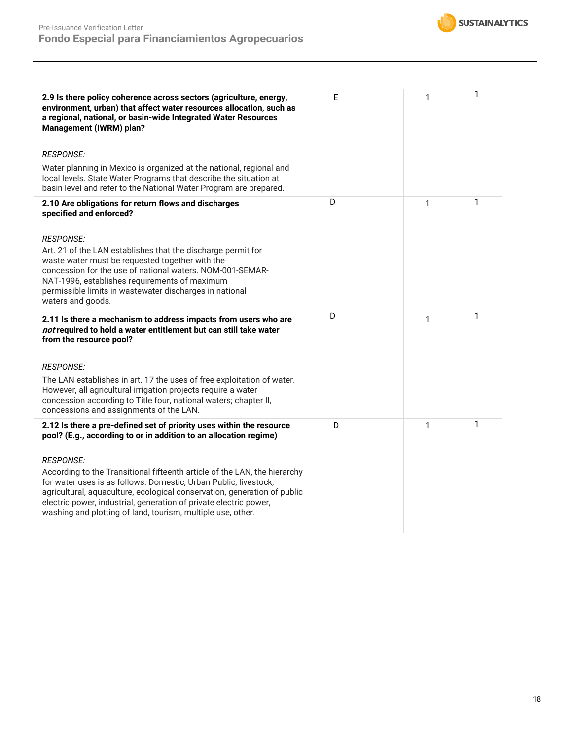

| 2.9 Is there policy coherence across sectors (agriculture, energy,<br>environment, urban) that affect water resources allocation, such as<br>a regional, national, or basin-wide Integrated Water Resources<br>Management (IWRM) plan?                                                                                                                                            | E | 1            | 1 |
|-----------------------------------------------------------------------------------------------------------------------------------------------------------------------------------------------------------------------------------------------------------------------------------------------------------------------------------------------------------------------------------|---|--------------|---|
| <b>RESPONSE:</b>                                                                                                                                                                                                                                                                                                                                                                  |   |              |   |
| Water planning in Mexico is organized at the national, regional and<br>local levels. State Water Programs that describe the situation at<br>basin level and refer to the National Water Program are prepared.                                                                                                                                                                     |   |              |   |
| 2.10 Are obligations for return flows and discharges<br>specified and enforced?                                                                                                                                                                                                                                                                                                   | D | 1            | 1 |
| <b>RESPONSE:</b><br>Art. 21 of the LAN establishes that the discharge permit for<br>waste water must be requested together with the<br>concession for the use of national waters. NOM-001-SEMAR-<br>NAT-1996, establishes requirements of maximum<br>permissible limits in wastewater discharges in national<br>waters and goods.                                                 |   |              |   |
| 2.11 Is there a mechanism to address impacts from users who are<br>not required to hold a water entitlement but can still take water<br>from the resource pool?                                                                                                                                                                                                                   | D | 1            | 1 |
| <b>RESPONSE:</b>                                                                                                                                                                                                                                                                                                                                                                  |   |              |   |
| The LAN establishes in art. 17 the uses of free exploitation of water.<br>However, all agricultural irrigation projects require a water<br>concession according to Title four, national waters; chapter II,<br>concessions and assignments of the LAN.                                                                                                                            |   |              |   |
| 2.12 Is there a pre-defined set of priority uses within the resource<br>pool? (E.g., according to or in addition to an allocation regime)                                                                                                                                                                                                                                         | D | $\mathbf{1}$ | 1 |
| <b>RESPONSE:</b><br>According to the Transitional fifteenth article of the LAN, the hierarchy<br>for water uses is as follows: Domestic, Urban Public, livestock,<br>agricultural, aquaculture, ecological conservation, generation of public<br>electric power, industrial, generation of private electric power,<br>washing and plotting of land, tourism, multiple use, other. |   |              |   |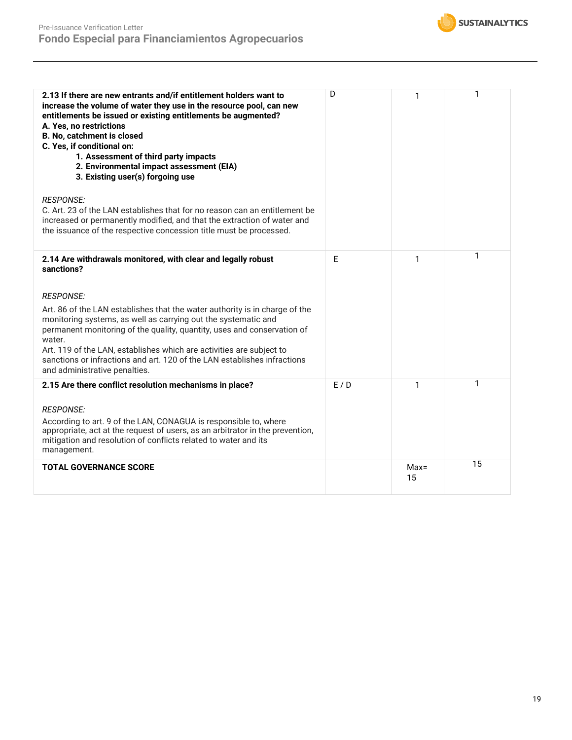

| 2.13 If there are new entrants and/if entitlement holders want to<br>increase the volume of water they use in the resource pool, can new<br>entitlements be issued or existing entitlements be augmented?<br>A. Yes, no restrictions<br>B. No, catchment is closed<br>C. Yes, if conditional on:<br>1. Assessment of third party impacts<br>2. Environmental impact assessment (EIA)<br>3. Existing user(s) forgoing use<br><b>RESPONSE:</b><br>C. Art. 23 of the LAN establishes that for no reason can an entitlement be<br>increased or permanently modified, and that the extraction of water and<br>the issuance of the respective concession title must be processed. | D   | 1             | 1  |
|-----------------------------------------------------------------------------------------------------------------------------------------------------------------------------------------------------------------------------------------------------------------------------------------------------------------------------------------------------------------------------------------------------------------------------------------------------------------------------------------------------------------------------------------------------------------------------------------------------------------------------------------------------------------------------|-----|---------------|----|
| 2.14 Are withdrawals monitored, with clear and legally robust<br>sanctions?                                                                                                                                                                                                                                                                                                                                                                                                                                                                                                                                                                                                 | E   | 1             | 1  |
| <b>RESPONSE:</b>                                                                                                                                                                                                                                                                                                                                                                                                                                                                                                                                                                                                                                                            |     |               |    |
| Art. 86 of the LAN establishes that the water authority is in charge of the<br>monitoring systems, as well as carrying out the systematic and<br>permanent monitoring of the quality, quantity, uses and conservation of<br>water.<br>Art. 119 of the LAN, establishes which are activities are subject to<br>sanctions or infractions and art. 120 of the LAN establishes infractions<br>and administrative penalties.                                                                                                                                                                                                                                                     |     |               |    |
| 2.15 Are there conflict resolution mechanisms in place?                                                                                                                                                                                                                                                                                                                                                                                                                                                                                                                                                                                                                     | E/D | 1             | 1  |
| <b>RESPONSE:</b><br>According to art. 9 of the LAN, CONAGUA is responsible to, where<br>appropriate, act at the request of users, as an arbitrator in the prevention,<br>mitigation and resolution of conflicts related to water and its<br>management.                                                                                                                                                                                                                                                                                                                                                                                                                     |     |               |    |
| <b>TOTAL GOVERNANCE SCORE</b>                                                                                                                                                                                                                                                                                                                                                                                                                                                                                                                                                                                                                                               |     | $Max =$<br>15 | 15 |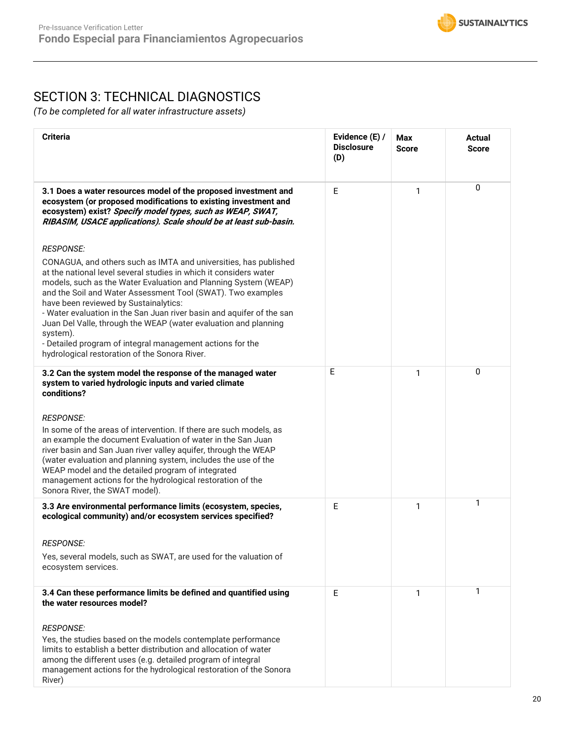# SECTION 3: TECHNICAL DIAGNOSTICS

*(To be completed for all water infrastructure assets)*

| <b>Criteria</b>                                                                                                                                                                                                                                                                                                                                                                                                                                                                                                                                                                                            | Evidence (E) /<br><b>Disclosure</b><br>(D) | Max<br><b>Score</b> | Actual<br><b>Score</b> |
|------------------------------------------------------------------------------------------------------------------------------------------------------------------------------------------------------------------------------------------------------------------------------------------------------------------------------------------------------------------------------------------------------------------------------------------------------------------------------------------------------------------------------------------------------------------------------------------------------------|--------------------------------------------|---------------------|------------------------|
| 3.1 Does a water resources model of the proposed investment and<br>ecosystem (or proposed modifications to existing investment and<br>ecosystem) exist? Specify model types, such as WEAP, SWAT,<br>RIBASIM, USACE applications). Scale should be at least sub-basin.                                                                                                                                                                                                                                                                                                                                      | E                                          | 1                   | 0                      |
| <b>RESPONSE:</b><br>CONAGUA, and others such as IMTA and universities, has published<br>at the national level several studies in which it considers water<br>models, such as the Water Evaluation and Planning System (WEAP)<br>and the Soil and Water Assessment Tool (SWAT). Two examples<br>have been reviewed by Sustainalytics:<br>- Water evaluation in the San Juan river basin and aquifer of the san<br>Juan Del Valle, through the WEAP (water evaluation and planning<br>system).<br>- Detailed program of integral management actions for the<br>hydrological restoration of the Sonora River. |                                            |                     |                        |
| 3.2 Can the system model the response of the managed water<br>system to varied hydrologic inputs and varied climate<br>conditions?<br><b>RESPONSE:</b><br>In some of the areas of intervention. If there are such models, as<br>an example the document Evaluation of water in the San Juan<br>river basin and San Juan river valley aquifer, through the WEAP<br>(water evaluation and planning system, includes the use of the<br>WEAP model and the detailed program of integrated<br>management actions for the hydrological restoration of the<br>Sonora River, the SWAT model).                      | E                                          | 1                   | $\mathbf{0}$           |
| 3.3 Are environmental performance limits (ecosystem, species,<br>ecological community) and/or ecosystem services specified?<br><b>RESPONSE:</b><br>Yes, several models, such as SWAT, are used for the valuation of<br>ecosystem services.                                                                                                                                                                                                                                                                                                                                                                 | E                                          | 1                   | 1                      |
| 3.4 Can these performance limits be defined and quantified using<br>the water resources model?<br><b>RESPONSE:</b><br>Yes, the studies based on the models contemplate performance<br>limits to establish a better distribution and allocation of water<br>among the different uses (e.g. detailed program of integral<br>management actions for the hydrological restoration of the Sonora<br>River)                                                                                                                                                                                                      | E                                          | 1                   | 1                      |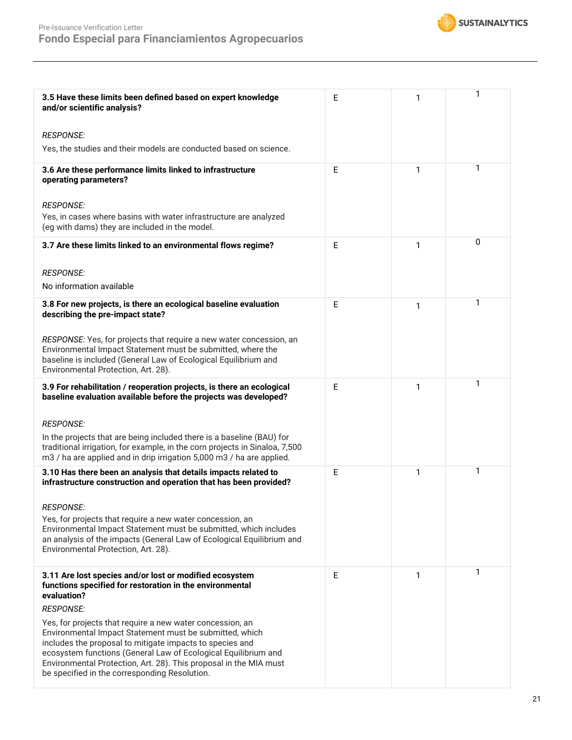

| 3.5 Have these limits been defined based on expert knowledge<br>and/or scientific analysis?                                                                                                                                                                                                                                                                              | Е | 1 | 1 |
|--------------------------------------------------------------------------------------------------------------------------------------------------------------------------------------------------------------------------------------------------------------------------------------------------------------------------------------------------------------------------|---|---|---|
| <b>RESPONSE:</b>                                                                                                                                                                                                                                                                                                                                                         |   |   |   |
| Yes, the studies and their models are conducted based on science.                                                                                                                                                                                                                                                                                                        |   |   |   |
| 3.6 Are these performance limits linked to infrastructure<br>operating parameters?                                                                                                                                                                                                                                                                                       | E | 1 | 1 |
| <b>RESPONSE:</b><br>Yes, in cases where basins with water infrastructure are analyzed<br>(eg with dams) they are included in the model.                                                                                                                                                                                                                                  |   |   |   |
| 3.7 Are these limits linked to an environmental flows regime?                                                                                                                                                                                                                                                                                                            | E | 1 | 0 |
| <b>RESPONSE:</b>                                                                                                                                                                                                                                                                                                                                                         |   |   |   |
| No information available                                                                                                                                                                                                                                                                                                                                                 |   |   |   |
| 3.8 For new projects, is there an ecological baseline evaluation<br>describing the pre-impact state?                                                                                                                                                                                                                                                                     | Е | 1 | 1 |
| RESPONSE: Yes, for projects that require a new water concession, an<br>Environmental Impact Statement must be submitted, where the<br>baseline is included (General Law of Ecological Equilibrium and<br>Environmental Protection, Art. 28).                                                                                                                             |   |   |   |
| 3.9 For rehabilitation / reoperation projects, is there an ecological<br>baseline evaluation available before the projects was developed?                                                                                                                                                                                                                                | Е | 1 | 1 |
| <b>RESPONSE:</b>                                                                                                                                                                                                                                                                                                                                                         |   |   |   |
| In the projects that are being included there is a baseline (BAU) for<br>traditional irrigation, for example, in the corn projects in Sinaloa, 7,500<br>m3 / ha are applied and in drip irrigation 5,000 m3 / ha are applied.                                                                                                                                            |   |   |   |
| 3.10 Has there been an analysis that details impacts related to<br>infrastructure construction and operation that has been provided?                                                                                                                                                                                                                                     | Е | 1 | 1 |
| <b>RESPONSE:</b>                                                                                                                                                                                                                                                                                                                                                         |   |   |   |
| Yes, for projects that require a new water concession, an<br>Environmental Impact Statement must be submitted, which includes<br>an analysis of the impacts (General Law of Ecological Equilibrium and<br>Environmental Protection, Art. 28).                                                                                                                            |   |   |   |
| 3.11 Are lost species and/or lost or modified ecosystem<br>functions specified for restoration in the environmental<br>evaluation?                                                                                                                                                                                                                                       | E | 1 | 1 |
| <b>RESPONSE:</b>                                                                                                                                                                                                                                                                                                                                                         |   |   |   |
| Yes, for projects that require a new water concession, an<br>Environmental Impact Statement must be submitted, which<br>includes the proposal to mitigate impacts to species and<br>ecosystem functions (General Law of Ecological Equilibrium and<br>Environmental Protection, Art. 28). This proposal in the MIA must<br>be specified in the corresponding Resolution. |   |   |   |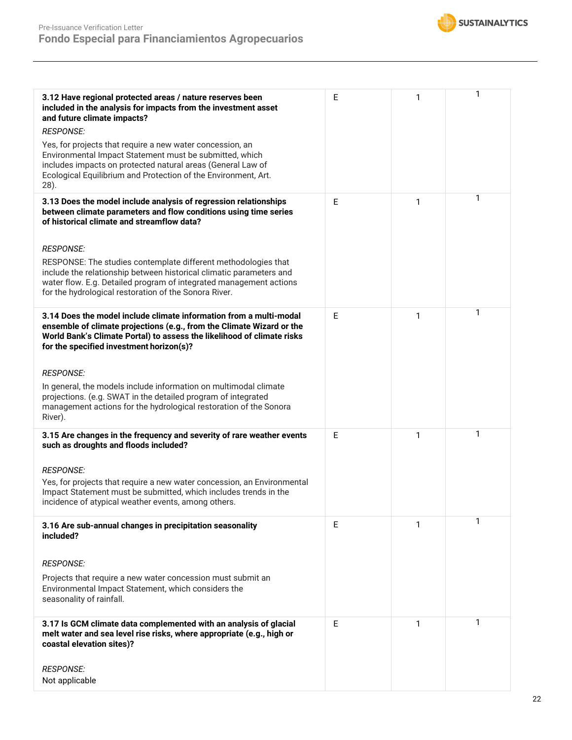

| 3.12 Have regional protected areas / nature reserves been<br>included in the analysis for impacts from the investment asset<br>and future climate impacts?<br><b>RESPONSE:</b>                                                                                       | E | 1 | 1 |
|----------------------------------------------------------------------------------------------------------------------------------------------------------------------------------------------------------------------------------------------------------------------|---|---|---|
| Yes, for projects that require a new water concession, an<br>Environmental Impact Statement must be submitted, which<br>includes impacts on protected natural areas (General Law of<br>Ecological Equilibrium and Protection of the Environment, Art.<br>28).        |   |   |   |
| 3.13 Does the model include analysis of regression relationships<br>between climate parameters and flow conditions using time series<br>of historical climate and streamflow data?                                                                                   | E | 1 | 1 |
| <b>RESPONSE:</b>                                                                                                                                                                                                                                                     |   |   |   |
| RESPONSE: The studies contemplate different methodologies that<br>include the relationship between historical climatic parameters and<br>water flow. E.g. Detailed program of integrated management actions<br>for the hydrological restoration of the Sonora River. |   |   |   |
| 3.14 Does the model include climate information from a multi-modal<br>ensemble of climate projections (e.g., from the Climate Wizard or the<br>World Bank's Climate Portal) to assess the likelihood of climate risks<br>for the specified investment horizon(s)?    | E | 1 | 1 |
| <b>RESPONSE:</b>                                                                                                                                                                                                                                                     |   |   |   |
| In general, the models include information on multimodal climate<br>projections. (e.g. SWAT in the detailed program of integrated<br>management actions for the hydrological restoration of the Sonora<br>River).                                                    |   |   |   |
| 3.15 Are changes in the frequency and severity of rare weather events<br>such as droughts and floods included?                                                                                                                                                       | E | 1 | 1 |
| <b>RESPONSE:</b>                                                                                                                                                                                                                                                     |   |   |   |
| Yes, for projects that require a new water concession, an Environmental<br>Impact Statement must be submitted, which includes trends in the<br>incidence of atypical weather events, among others.                                                                   |   |   |   |
| 3.16 Are sub-annual changes in precipitation seasonality<br>included?                                                                                                                                                                                                | E | 1 | 1 |
| <b>RESPONSE:</b>                                                                                                                                                                                                                                                     |   |   |   |
| Projects that require a new water concession must submit an<br>Environmental Impact Statement, which considers the<br>seasonality of rainfall.                                                                                                                       |   |   |   |
| 3.17 Is GCM climate data complemented with an analysis of glacial<br>melt water and sea level rise risks, where appropriate (e.g., high or<br>coastal elevation sites)?                                                                                              | E | 1 | 1 |
| <b>RESPONSE:</b><br>Not applicable                                                                                                                                                                                                                                   |   |   |   |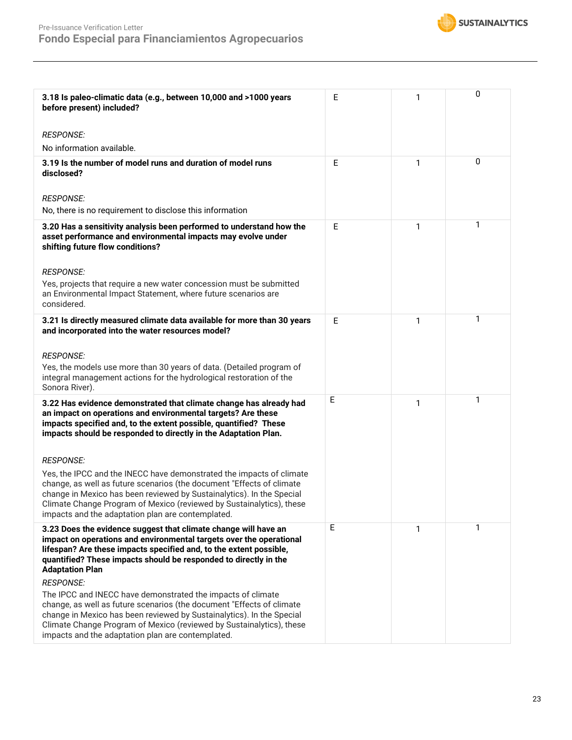

| 3.18 Is paleo-climatic data (e.g., between 10,000 and >1000 years<br>before present) included?<br><b>RESPONSE:</b>                                                                                                                                                                                                                                  | Е | 1 | 0 |
|-----------------------------------------------------------------------------------------------------------------------------------------------------------------------------------------------------------------------------------------------------------------------------------------------------------------------------------------------------|---|---|---|
| No information available.                                                                                                                                                                                                                                                                                                                           |   |   |   |
| 3.19 Is the number of model runs and duration of model runs<br>disclosed?                                                                                                                                                                                                                                                                           | E | 1 | 0 |
| <b>RESPONSE:</b>                                                                                                                                                                                                                                                                                                                                    |   |   |   |
| No, there is no requirement to disclose this information                                                                                                                                                                                                                                                                                            |   |   |   |
| 3.20 Has a sensitivity analysis been performed to understand how the<br>asset performance and environmental impacts may evolve under<br>shifting future flow conditions?                                                                                                                                                                            | E | 1 | 1 |
| <b>RESPONSE:</b>                                                                                                                                                                                                                                                                                                                                    |   |   |   |
| Yes, projects that require a new water concession must be submitted<br>an Environmental Impact Statement, where future scenarios are<br>considered.                                                                                                                                                                                                 |   |   |   |
| 3.21 Is directly measured climate data available for more than 30 years<br>and incorporated into the water resources model?                                                                                                                                                                                                                         | E | 1 | 1 |
| <b>RESPONSE:</b>                                                                                                                                                                                                                                                                                                                                    |   |   |   |
| Yes, the models use more than 30 years of data. (Detailed program of<br>integral management actions for the hydrological restoration of the<br>Sonora River).                                                                                                                                                                                       |   |   |   |
| 3.22 Has evidence demonstrated that climate change has already had<br>an impact on operations and environmental targets? Are these<br>impacts specified and, to the extent possible, quantified? These<br>impacts should be responded to directly in the Adaptation Plan.                                                                           | Е | 1 | 1 |
| <b>RESPONSE:</b>                                                                                                                                                                                                                                                                                                                                    |   |   |   |
| Yes, the IPCC and the INECC have demonstrated the impacts of climate<br>change, as well as future scenarios (the document "Effects of climate<br>change in Mexico has been reviewed by Sustainalytics). In the Special<br>Climate Change Program of Mexico (reviewed by Sustainalytics), these<br>impacts and the adaptation plan are contemplated. |   |   |   |
| 3.23 Does the evidence suggest that climate change will have an<br>impact on operations and environmental targets over the operational<br>lifespan? Are these impacts specified and, to the extent possible,<br>quantified? These impacts should be responded to directly in the<br><b>Adaptation Plan</b>                                          | Ε | 1 | 1 |
| <b>RESPONSE:</b>                                                                                                                                                                                                                                                                                                                                    |   |   |   |
| The IPCC and INECC have demonstrated the impacts of climate<br>change, as well as future scenarios (the document "Effects of climate<br>change in Mexico has been reviewed by Sustainalytics). In the Special<br>Climate Change Program of Mexico (reviewed by Sustainalytics), these<br>impacts and the adaptation plan are contemplated.          |   |   |   |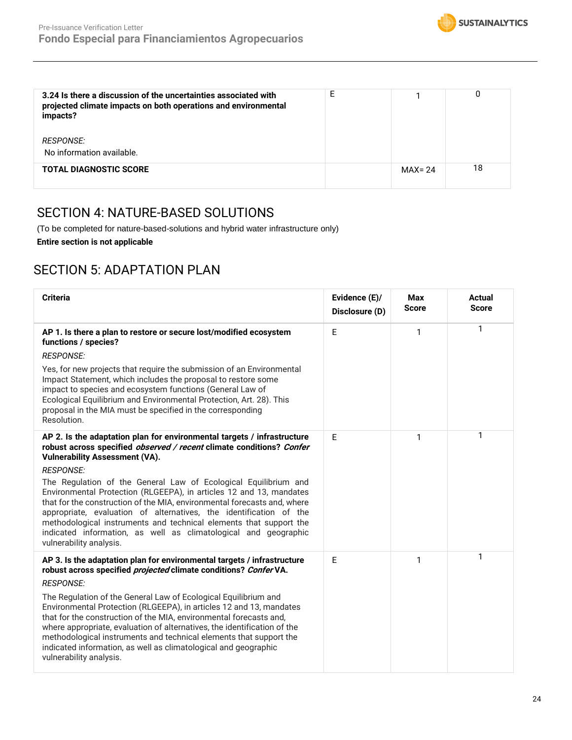

| 3.24 Is there a discussion of the uncertainties associated with<br>projected climate impacts on both operations and environmental<br>impacts? | E |            |    |
|-----------------------------------------------------------------------------------------------------------------------------------------------|---|------------|----|
| <i>RESPONSE:</i><br>No information available.                                                                                                 |   |            |    |
|                                                                                                                                               |   |            |    |
| <b>TOTAL DIAGNOSTIC SCORE</b>                                                                                                                 |   | $MAX = 24$ | 18 |

## SECTION 4: NATURE-BASED SOLUTIONS

(To be completed for nature-based-solutions and hybrid water infrastructure only)

**Entire section is not applicable**

## SECTION 5: ADAPTATION PLAN

| <b>Criteria</b>                                                                                                                                                                                                                                                                                                                                                                                                                                                                                                                                                                                                                                                              | Evidence (E)/<br>Disclosure (D) | <b>Max</b><br><b>Score</b> | <b>Actual</b><br><b>Score</b> |
|------------------------------------------------------------------------------------------------------------------------------------------------------------------------------------------------------------------------------------------------------------------------------------------------------------------------------------------------------------------------------------------------------------------------------------------------------------------------------------------------------------------------------------------------------------------------------------------------------------------------------------------------------------------------------|---------------------------------|----------------------------|-------------------------------|
| AP 1. Is there a plan to restore or secure lost/modified ecosystem<br>functions / species?<br><b>RESPONSE:</b>                                                                                                                                                                                                                                                                                                                                                                                                                                                                                                                                                               | E                               | 1                          | 1                             |
| Yes, for new projects that require the submission of an Environmental<br>Impact Statement, which includes the proposal to restore some<br>impact to species and ecosystem functions (General Law of<br>Ecological Equilibrium and Environmental Protection, Art. 28). This<br>proposal in the MIA must be specified in the corresponding<br>Resolution.                                                                                                                                                                                                                                                                                                                      |                                 |                            |                               |
| AP 2. Is the adaptation plan for environmental targets / infrastructure<br>robust across specified observed / recent climate conditions? Confer<br><b>Vulnerability Assessment (VA).</b><br><b>RESPONSE:</b><br>The Regulation of the General Law of Ecological Equilibrium and<br>Environmental Protection (RLGEEPA), in articles 12 and 13, mandates<br>that for the construction of the MIA, environmental forecasts and, where<br>appropriate, evaluation of alternatives, the identification of the<br>methodological instruments and technical elements that support the<br>indicated information, as well as climatological and geographic<br>vulnerability analysis. | E                               | 1                          | 1                             |
| AP 3. Is the adaptation plan for environmental targets / infrastructure<br>robust across specified <i>projected</i> climate conditions? Confer VA.<br><b>RESPONSE:</b><br>The Regulation of the General Law of Ecological Equilibrium and<br>Environmental Protection (RLGEEPA), in articles 12 and 13, mandates<br>that for the construction of the MIA, environmental forecasts and,<br>where appropriate, evaluation of alternatives, the identification of the<br>methodological instruments and technical elements that support the<br>indicated information, as well as climatological and geographic<br>vulnerability analysis.                                       | E                               | 1                          | 1                             |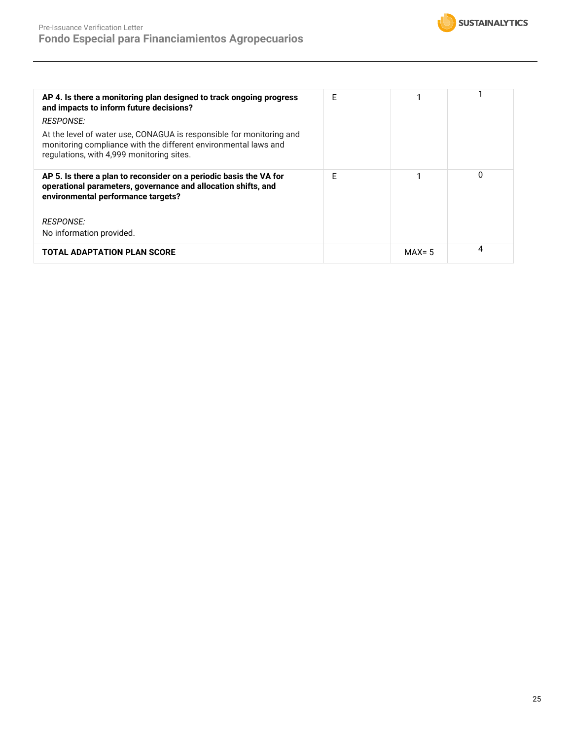

| AP 4. Is there a monitoring plan designed to track ongoing progress<br>and impacts to inform future decisions?<br><i>RESPONSE:</i><br>At the level of water use, CONAGUA is responsible for monitoring and<br>monitoring compliance with the different environmental laws and<br>regulations, with 4,999 monitoring sites. | F |           |   |
|----------------------------------------------------------------------------------------------------------------------------------------------------------------------------------------------------------------------------------------------------------------------------------------------------------------------------|---|-----------|---|
| AP 5. Is there a plan to reconsider on a periodic basis the VA for<br>operational parameters, governance and allocation shifts, and<br>environmental performance targets?<br><i>RESPONSE:</i>                                                                                                                              | F |           | 0 |
| No information provided.                                                                                                                                                                                                                                                                                                   |   |           |   |
| <b>TOTAL ADAPTATION PLAN SCORE</b>                                                                                                                                                                                                                                                                                         |   | $MAX = 5$ | 4 |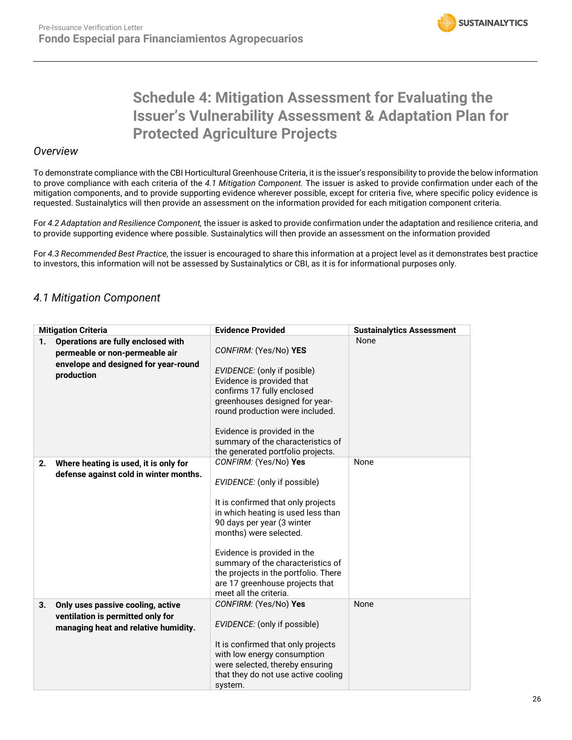# **Schedule 4: Mitigation Assessment for Evaluating the Issuer's Vulnerability Assessment & Adaptation Plan for Protected Agriculture Projects**

### *Overview*

To demonstrate compliance with the CBI Horticultural Greenhouse Criteria, it is the issuer's responsibility to provide the below information to prove compliance with each criteria of the *4.1 Mitigation Component.* The issuer is asked to provide confirmation under each of the mitigation components, and to provide supporting evidence wherever possible, except for criteria five, where specific policy evidence is requested. Sustainalytics will then provide an assessment on the information provided for each mitigation component criteria.

For *4.2 Adaptation and Resilience Component,* the issuer is asked to provide confirmation under the adaptation and resilience criteria, and to provide supporting evidence where possible. Sustainalytics will then provide an assessment on the information provided

For *4.3 Recommended Best Practice*, the issuer is encouraged to share this information at a project level as it demonstrates best practice to investors, this information will not be assessed by Sustainalytics or CBI, as it is for informational purposes only.

## *4.1 Mitigation Component*

|    | <b>Mitigation Criteria</b>                                                                                                 | <b>Evidence Provided</b>                                                                                                                                                                                                                                                                                                                                           | <b>Sustainalytics Assessment</b> |
|----|----------------------------------------------------------------------------------------------------------------------------|--------------------------------------------------------------------------------------------------------------------------------------------------------------------------------------------------------------------------------------------------------------------------------------------------------------------------------------------------------------------|----------------------------------|
| 1. | Operations are fully enclosed with<br>permeable or non-permeable air<br>envelope and designed for year-round<br>production | CONFIRM: (Yes/No) YES<br>EVIDENCE: (only if posible)<br>Evidence is provided that<br>confirms 17 fully enclosed<br>greenhouses designed for year-<br>round production were included.<br>Evidence is provided in the<br>summary of the characteristics of<br>the generated portfolio projects.                                                                      | <b>None</b>                      |
| 2. | Where heating is used, it is only for<br>defense against cold in winter months.                                            | CONFIRM: (Yes/No) Yes<br>EVIDENCE: (only if possible)<br>It is confirmed that only projects<br>in which heating is used less than<br>90 days per year (3 winter<br>months) were selected.<br>Evidence is provided in the<br>summary of the characteristics of<br>the projects in the portfolio. There<br>are 17 greenhouse projects that<br>meet all the criteria. | None                             |
| 3. | Only uses passive cooling, active<br>ventilation is permitted only for<br>managing heat and relative humidity.             | CONFIRM: (Yes/No) Yes<br>EVIDENCE: (only if possible)<br>It is confirmed that only projects<br>with low energy consumption<br>were selected, thereby ensuring<br>that they do not use active cooling<br>system.                                                                                                                                                    | None                             |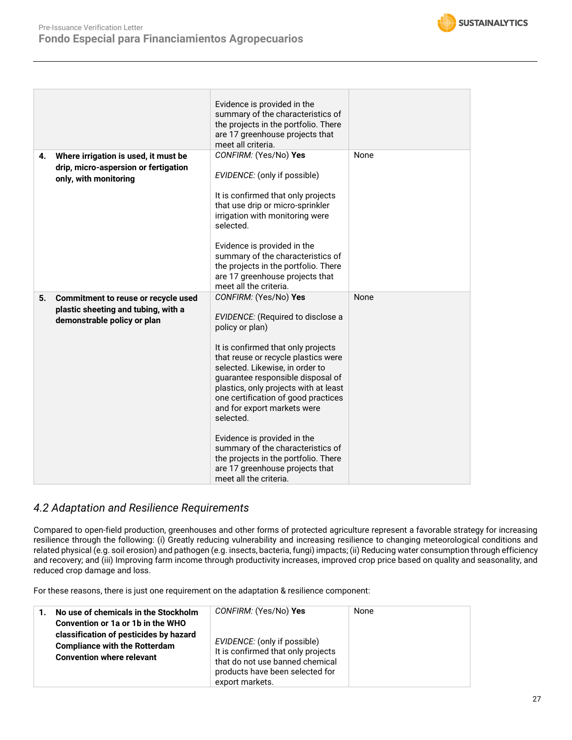

|    |                                      | Evidence is provided in the              |             |
|----|--------------------------------------|------------------------------------------|-------------|
|    |                                      | summary of the characteristics of        |             |
|    |                                      | the projects in the portfolio. There     |             |
|    |                                      | are 17 greenhouse projects that          |             |
|    |                                      | meet all criteria.                       |             |
| 4. | Where irrigation is used, it must be | CONFIRM: (Yes/No) Yes                    | None        |
|    | drip, micro-aspersion or fertigation |                                          |             |
|    | only, with monitoring                | EVIDENCE: (only if possible)             |             |
|    |                                      |                                          |             |
|    |                                      | It is confirmed that only projects       |             |
|    |                                      | that use drip or micro-sprinkler         |             |
|    |                                      | irrigation with monitoring were          |             |
|    |                                      | selected.                                |             |
|    |                                      |                                          |             |
|    |                                      | Evidence is provided in the              |             |
|    |                                      | summary of the characteristics of        |             |
|    |                                      | the projects in the portfolio. There     |             |
|    |                                      | are 17 greenhouse projects that          |             |
|    |                                      | meet all the criteria.                   |             |
|    |                                      |                                          |             |
| 5. |                                      | CONFIRM: (Yes/No) Yes                    | <b>None</b> |
|    | Commitment to reuse or recycle used  |                                          |             |
|    | plastic sheeting and tubing, with a  | <b>EVIDENCE:</b> (Required to disclose a |             |
|    | demonstrable policy or plan          | policy or plan)                          |             |
|    |                                      |                                          |             |
|    |                                      | It is confirmed that only projects       |             |
|    |                                      | that reuse or recycle plastics were      |             |
|    |                                      | selected. Likewise, in order to          |             |
|    |                                      | guarantee responsible disposal of        |             |
|    |                                      | plastics, only projects with at least    |             |
|    |                                      | one certification of good practices      |             |
|    |                                      | and for export markets were              |             |
|    |                                      | selected.                                |             |
|    |                                      |                                          |             |
|    |                                      | Evidence is provided in the              |             |
|    |                                      | summary of the characteristics of        |             |
|    |                                      | the projects in the portfolio. There     |             |
|    |                                      | are 17 greenhouse projects that          |             |

## *4.2 Adaptation and Resilience Requirements*

Compared to open-field production, greenhouses and other forms of protected agriculture represent a favorable strategy for increasing resilience through the following: (i) Greatly reducing vulnerability and increasing resilience to changing meteorological conditions and related physical (e.g. soil erosion) and pathogen (e.g. insects, bacteria, fungi) impacts; (ii) Reducing water consumption through efficiency and recovery; and (iii) Improving farm income through productivity increases, improved crop price based on quality and seasonality, and reduced crop damage and loss.

For these reasons, there is just one requirement on the adaptation & resilience component:

| No use of chemicals in the Stockholm<br>Convention or 1a or 1b in the WHO<br>classification of pesticides by hazard<br><b>Compliance with the Rotterdam</b><br><b>Convention where relevant</b> | CONFIRM: (Yes/No) Yes<br>EVIDENCE: (only if possible)<br>It is confirmed that only projects<br>that do not use banned chemical<br>products have been selected for<br>export markets. | None |
|-------------------------------------------------------------------------------------------------------------------------------------------------------------------------------------------------|--------------------------------------------------------------------------------------------------------------------------------------------------------------------------------------|------|
|-------------------------------------------------------------------------------------------------------------------------------------------------------------------------------------------------|--------------------------------------------------------------------------------------------------------------------------------------------------------------------------------------|------|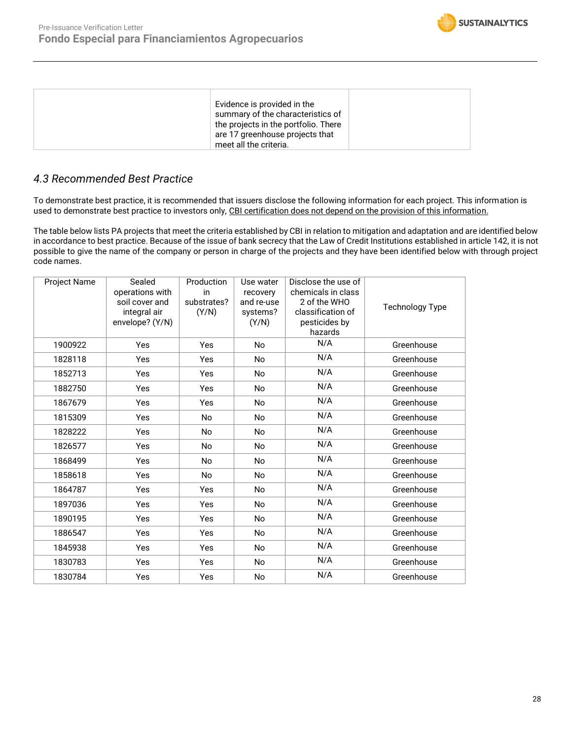

| Evidence is provided in the<br>summary of the characteristics of<br>the projects in the portfolio. There<br>are 17 greenhouse projects that<br>meet all the criteria. |
|-----------------------------------------------------------------------------------------------------------------------------------------------------------------------|
|-----------------------------------------------------------------------------------------------------------------------------------------------------------------------|

## *4.3 Recommended Best Practice*

To demonstrate best practice, it is recommended that issuers disclose the following information for each project. This information is used to demonstrate best practice to investors only, CBI certification does not depend on the provision of this information.

The table below lists PA projects that meet the criteria established by CBI in relation to mitigation and adaptation and are identified below in accordance to best practice. Because of the issue of bank secrecy that the Law of Credit Institutions established in article 142, it is not possible to give the name of the company or person in charge of the projects and they have been identified below with through project code names.

| Project Name | Sealed<br>operations with<br>soil cover and<br>integral air<br>envelope? (Y/N) | Production<br>in<br>substrates?<br>(Y/N) | Use water<br>recovery<br>and re-use<br>systems?<br>(Y/N) | Disclose the use of<br>chemicals in class<br>2 of the WHO<br>classification of<br>pesticides by<br>hazards | <b>Technology Type</b> |
|--------------|--------------------------------------------------------------------------------|------------------------------------------|----------------------------------------------------------|------------------------------------------------------------------------------------------------------------|------------------------|
| 1900922      | Yes                                                                            | Yes                                      | <b>No</b>                                                | N/A                                                                                                        | Greenhouse             |
| 1828118      | Yes                                                                            | Yes                                      | <b>No</b>                                                | N/A                                                                                                        | Greenhouse             |
| 1852713      | Yes                                                                            | Yes                                      | <b>No</b>                                                | N/A                                                                                                        | Greenhouse             |
| 1882750      | Yes                                                                            | Yes                                      | No.                                                      | N/A                                                                                                        | Greenhouse             |
| 1867679      | Yes                                                                            | Yes                                      | <b>No</b>                                                | N/A                                                                                                        | Greenhouse             |
| 1815309      | Yes                                                                            | <b>No</b>                                | <b>No</b>                                                | N/A                                                                                                        | Greenhouse             |
| 1828222      | Yes                                                                            | <b>No</b>                                | <b>No</b>                                                | N/A                                                                                                        | Greenhouse             |
| 1826577      | Yes                                                                            | <b>No</b>                                | <b>No</b>                                                | N/A                                                                                                        | Greenhouse             |
| 1868499      | Yes                                                                            | No                                       | No.                                                      | N/A                                                                                                        | Greenhouse             |
| 1858618      | Yes                                                                            | <b>No</b>                                | <b>No</b>                                                | N/A                                                                                                        | Greenhouse             |
| 1864787      | Yes                                                                            | Yes                                      | <b>No</b>                                                | N/A                                                                                                        | Greenhouse             |
| 1897036      | Yes                                                                            | Yes                                      | <b>No</b>                                                | N/A                                                                                                        | Greenhouse             |
| 1890195      | Yes                                                                            | Yes                                      | <b>No</b>                                                | N/A                                                                                                        | Greenhouse             |
| 1886547      | Yes                                                                            | Yes                                      | <b>No</b>                                                | N/A                                                                                                        | Greenhouse             |
| 1845938      | Yes                                                                            | Yes                                      | <b>No</b>                                                | N/A                                                                                                        | Greenhouse             |
| 1830783      | Yes                                                                            | Yes                                      | No                                                       | N/A                                                                                                        | Greenhouse             |
| 1830784      | Yes                                                                            | Yes                                      | <b>No</b>                                                | N/A                                                                                                        | Greenhouse             |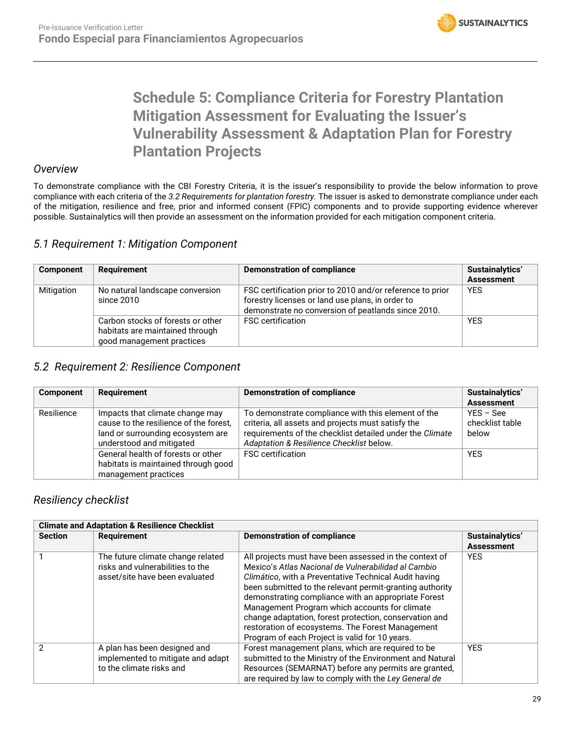# **Schedule 5: Compliance Criteria for Forestry Plantation Mitigation Assessment for Evaluating the Issuer's Vulnerability Assessment & Adaptation Plan for Forestry Plantation Projects**

### *Overview*

To demonstrate compliance with the CBI Forestry Criteria, it is the issuer's responsibility to provide the below information to prove compliance with each criteria of the *3.2 Requirements for plantation forestry.* The issuer is asked to demonstrate compliance under each of the mitigation, resilience and free, prior and informed consent (FPIC) components and to provide supporting evidence wherever possible. Sustainalytics will then provide an assessment on the information provided for each mitigation component criteria.

## *5.1 Requirement 1: Mitigation Component*

| <b>Component</b> | <b>Requirement</b>                                                                                | <b>Demonstration of compliance</b>                                                                                                                                  | Sustainalytics'<br><b>Assessment</b> |
|------------------|---------------------------------------------------------------------------------------------------|---------------------------------------------------------------------------------------------------------------------------------------------------------------------|--------------------------------------|
| Mitigation       | No natural landscape conversion<br>since 2010                                                     | FSC certification prior to 2010 and/or reference to prior<br>forestry licenses or land use plans, in order to<br>demonstrate no conversion of peatlands since 2010. | <b>YES</b>                           |
|                  | Carbon stocks of forests or other<br>habitats are maintained through<br>good management practices | <b>FSC</b> certification                                                                                                                                            | <b>YES</b>                           |

### *5.2 Requirement 2: Resilience Component*

| <b>Component</b> | <b>Requirement</b>                                                                                                                         | Demonstration of compliance                                                                                                                                                                                      | Sustainalytics'<br><b>Assessment</b>    |
|------------------|--------------------------------------------------------------------------------------------------------------------------------------------|------------------------------------------------------------------------------------------------------------------------------------------------------------------------------------------------------------------|-----------------------------------------|
| Resilience       | Impacts that climate change may<br>cause to the resilience of the forest,<br>land or surrounding ecosystem are<br>understood and mitigated | To demonstrate compliance with this element of the<br>criteria, all assets and projects must satisfy the<br>requirements of the checklist detailed under the Climate<br>Adaptation & Resilience Checklist below. | $YES - See$<br>checklist table<br>below |
|                  | General health of forests or other<br>habitats is maintained through good<br>management practices                                          | <b>FSC</b> certification                                                                                                                                                                                         | <b>YES</b>                              |

## *Resiliency checklist*

| <b>Climate and Adaptation &amp; Resilience Checklist</b> |                                                                                                         |                                                                                                                                                                                                                                                                                                                                                                                                                                                                                                            |                   |  |  |
|----------------------------------------------------------|---------------------------------------------------------------------------------------------------------|------------------------------------------------------------------------------------------------------------------------------------------------------------------------------------------------------------------------------------------------------------------------------------------------------------------------------------------------------------------------------------------------------------------------------------------------------------------------------------------------------------|-------------------|--|--|
| <b>Section</b>                                           | <b>Requirement</b><br><b>Demonstration of compliance</b>                                                |                                                                                                                                                                                                                                                                                                                                                                                                                                                                                                            | Sustainalytics'   |  |  |
|                                                          |                                                                                                         |                                                                                                                                                                                                                                                                                                                                                                                                                                                                                                            | <b>Assessment</b> |  |  |
|                                                          | The future climate change related<br>risks and vulnerabilities to the<br>asset/site have been evaluated | All projects must have been assessed in the context of<br>Mexico's Atlas Nacional de Vulnerabilidad al Cambio<br>Climático, with a Preventative Technical Audit having<br>been submitted to the relevant permit-granting authority<br>demonstrating compliance with an appropriate Forest<br>Management Program which accounts for climate<br>change adaptation, forest protection, conservation and<br>restoration of ecosystems. The Forest Management<br>Program of each Project is valid for 10 years. | <b>YES</b>        |  |  |
| 2                                                        | A plan has been designed and<br>implemented to mitigate and adapt<br>to the climate risks and           | Forest management plans, which are required to be<br>submitted to the Ministry of the Environment and Natural<br>Resources (SEMARNAT) before any permits are granted,<br>are required by law to comply with the Ley General de                                                                                                                                                                                                                                                                             | <b>YES</b>        |  |  |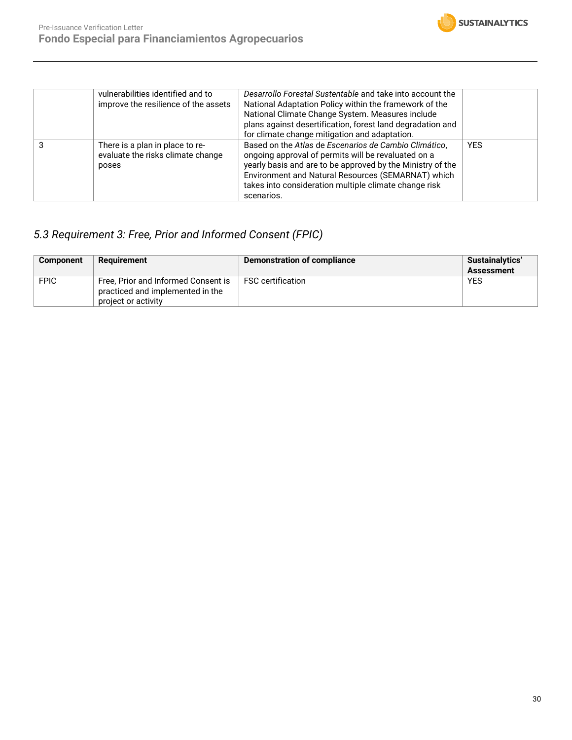

| vulnerabilities identified and to<br>improve the resilience of the assets     | Desarrollo Forestal Sustentable and take into account the<br>National Adaptation Policy within the framework of the<br>National Climate Change System. Measures include<br>plans against desertification, forest land degradation and<br>for climate change mitigation and adaptation.                  |            |
|-------------------------------------------------------------------------------|---------------------------------------------------------------------------------------------------------------------------------------------------------------------------------------------------------------------------------------------------------------------------------------------------------|------------|
| There is a plan in place to re-<br>evaluate the risks climate change<br>poses | Based on the Atlas de Escenarios de Cambio Climático,<br>ongoing approval of permits will be revaluated on a<br>yearly basis and are to be approved by the Ministry of the<br>Environment and Natural Resources (SEMARNAT) which<br>takes into consideration multiple climate change risk<br>scenarios. | <b>YES</b> |

## *5.3 Requirement 3: Free, Prior and Informed Consent (FPIC)*

| <b>Component</b> | Reauirement                                                                                    | Demonstration of compliance | <b>Sustainalytics'</b><br><b>Assessment</b> |
|------------------|------------------------------------------------------------------------------------------------|-----------------------------|---------------------------------------------|
| <b>FPIC</b>      | Free, Prior and Informed Consent is<br>practiced and implemented in the<br>project or activity | <b>FSC certification</b>    | <b>YES</b>                                  |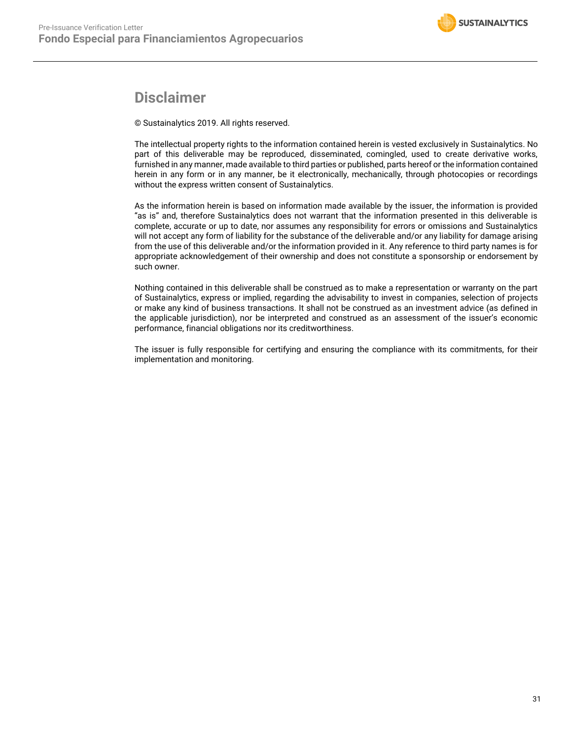## **Disclaimer**

© Sustainalytics 2019. All rights reserved.

The intellectual property rights to the information contained herein is vested exclusively in Sustainalytics. No part of this deliverable may be reproduced, disseminated, comingled, used to create derivative works, furnished in any manner, made available to third parties or published, parts hereof or the information contained herein in any form or in any manner, be it electronically, mechanically, through photocopies or recordings without the express written consent of Sustainalytics.

As the information herein is based on information made available by the issuer, the information is provided "as is" and, therefore Sustainalytics does not warrant that the information presented in this deliverable is complete, accurate or up to date, nor assumes any responsibility for errors or omissions and Sustainalytics will not accept any form of liability for the substance of the deliverable and/or any liability for damage arising from the use of this deliverable and/or the information provided in it. Any reference to third party names is for appropriate acknowledgement of their ownership and does not constitute a sponsorship or endorsement by such owner.

Nothing contained in this deliverable shall be construed as to make a representation or warranty on the part of Sustainalytics, express or implied, regarding the advisability to invest in companies, selection of projects or make any kind of business transactions. It shall not be construed as an investment advice (as defined in the applicable jurisdiction), nor be interpreted and construed as an assessment of the issuer's economic performance, financial obligations nor its creditworthiness.

The issuer is fully responsible for certifying and ensuring the compliance with its commitments, for their implementation and monitoring.